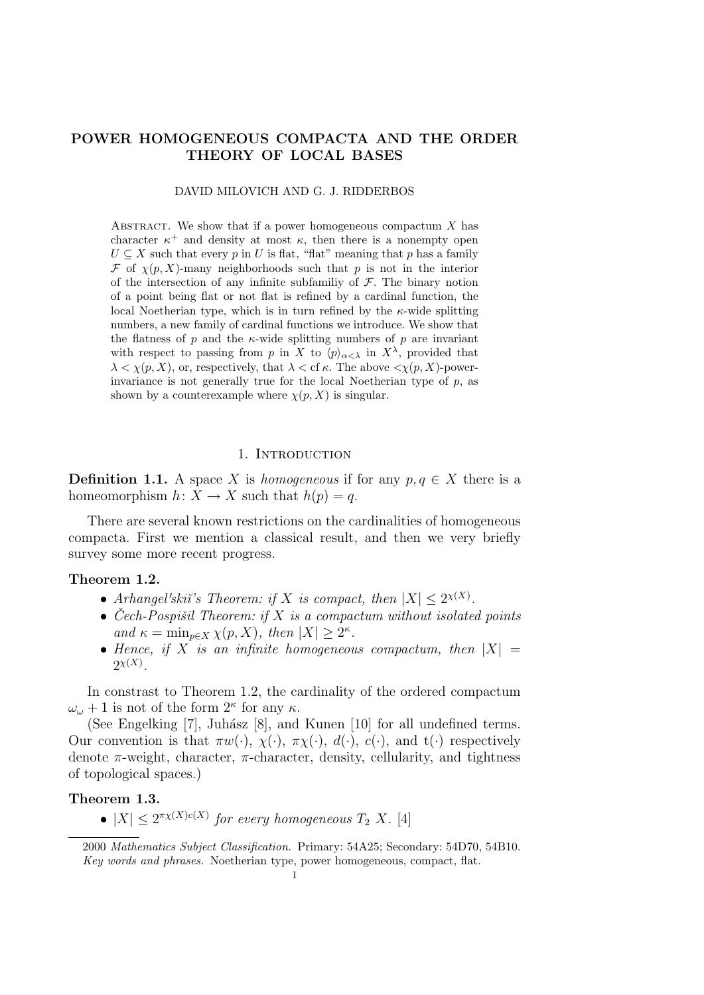# POWER HOMOGENEOUS COMPACTA AND THE ORDER THEORY OF LOCAL BASES

#### DAVID MILOVICH AND G. J. RIDDERBOS

ABSTRACT. We show that if a power homogeneous compactum  $X$  has character  $\kappa^+$  and density at most  $\kappa$ , then there is a nonempty open  $U \subseteq X$  such that every p in U is flat, "flat" meaning that p has a family  $\mathcal F$  of  $\chi(p, X)$ -many neighborhoods such that p is not in the interior of the intersection of any infinite subfamiliy of  $\mathcal F$ . The binary notion of a point being flat or not flat is refined by a cardinal function, the local Noetherian type, which is in turn refined by the  $\kappa$ -wide splitting numbers, a new family of cardinal functions we introduce. We show that the flatness of  $p$  and the  $\kappa$ -wide splitting numbers of  $p$  are invariant with respect to passing from p in X to  $\langle p \rangle_{\alpha < \lambda}$  in  $X^{\lambda}$ , provided that  $\lambda < \chi(p, X)$ , or, respectively, that  $\lambda <$  cf  $\kappa$ . The above  $\langle \chi(p, X)$ -powerinvariance is not generally true for the local Noetherian type of  $p$ , as shown by a counterexample where  $\chi(p, X)$  is singular.

#### 1. INTRODUCTION

**Definition 1.1.** A space X is *homogeneous* if for any  $p, q \in X$  there is a homeomorphism  $h: X \to X$  such that  $h(p) = q$ .

There are several known restrictions on the cardinalities of homogeneous compacta. First we mention a classical result, and then we very briefly survey some more recent progress.

### Theorem 1.2.

- Arhangel'skii's Theorem: if X is compact, then  $|X| \leq 2^{\chi(X)}$ .
- Čech-Pospišil Theorem: if  $X$  is a compactum without isolated points and  $\kappa = \min_{p \in X} \chi(p, X)$ , then  $|X| \geq 2^{\kappa}$ .
- Hence, if X is an infinite homogeneous compactum, then  $|X| =$  $2^{\chi(X)}$ .

In constrast to Theorem 1.2, the cardinality of the ordered compactum  $\omega_{\omega} + 1$  is not of the form  $2^{\kappa}$  for any  $\kappa$ .

(See Engelking [7], Juhász [8], and Kunen [10] for all undefined terms. Our convention is that  $\pi w(\cdot)$ ,  $\chi(\cdot)$ ,  $\pi \chi(\cdot)$ ,  $d(\cdot)$ ,  $c(\cdot)$ , and  $t(\cdot)$  respectively denote  $\pi$ -weight, character,  $\pi$ -character, density, cellularity, and tightness of topological spaces.)

### Theorem 1.3.

•  $|X| \leq 2^{\pi \chi(X)c(X)}$  for every homogeneous  $T_2$  X. [4]

<sup>2000</sup> Mathematics Subject Classification. Primary: 54A25; Secondary: 54D70, 54B10. Key words and phrases. Noetherian type, power homogeneous, compact, flat.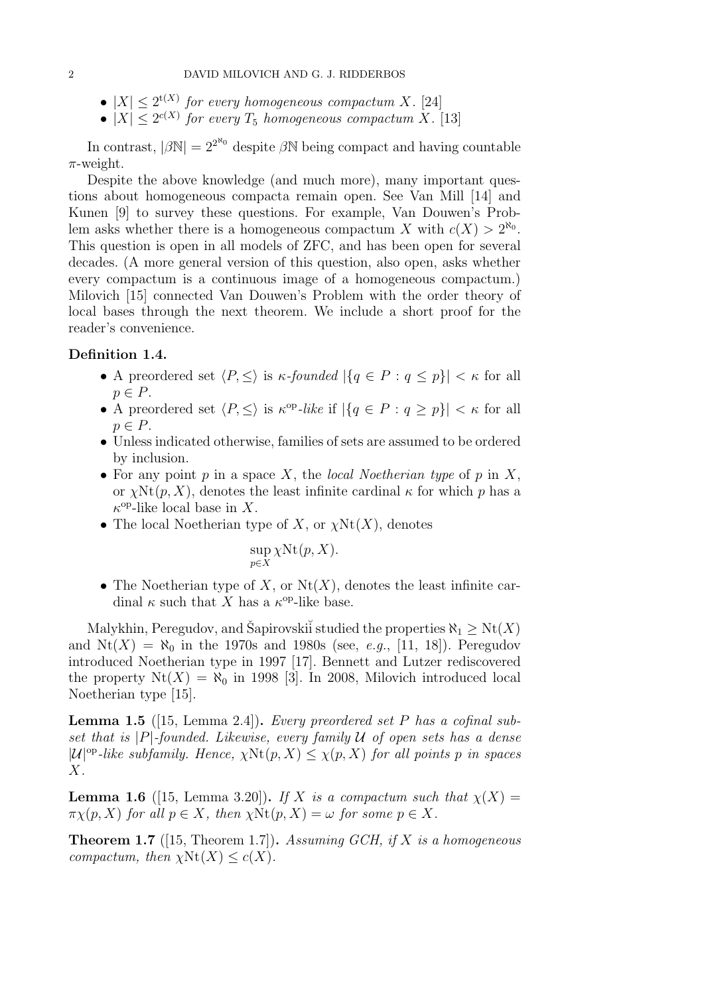- $|X| \leq 2^{t(X)}$  for every homogeneous compactum X. [24]
- $|X| \leq 2^{c(X)}$  for every  $T_5$  homogeneous compactum X. [13]

In contrast,  $|\beta N| = 2^{2^N}$  despite  $\beta N$  being compact and having countable  $\pi$ -weight.

Despite the above knowledge (and much more), many important questions about homogeneous compacta remain open. See Van Mill [14] and Kunen [9] to survey these questions. For example, Van Douwen's Problem asks whether there is a homogeneous compactum X with  $c(X) > 2^{\aleph_0}$ . This question is open in all models of ZFC, and has been open for several decades. (A more general version of this question, also open, asks whether every compactum is a continuous image of a homogeneous compactum.) Milovich [15] connected Van Douwen's Problem with the order theory of local bases through the next theorem. We include a short proof for the reader's convenience.

### Definition 1.4.

- A preordered set  $\langle P, \leq \rangle$  is  $\kappa$ -founded  $|\{q \in P : q \leq p\}| < \kappa$  for all  $p \in P$ .
- A preordered set  $\langle P, \leq \rangle$  is  $\kappa^{\rm op}-like$  if  $|\{q \in P : q \geq p\}| < \kappa$  for all  $p \in P$ .
- Unless indicated otherwise, families of sets are assumed to be ordered by inclusion.
- For any point  $p$  in a space  $X$ , the local Noetherian type of  $p$  in  $X$ , or  $\chi \text{Nt}(p, X)$ , denotes the least infinite cardinal  $\kappa$  for which p has a  $\kappa^{\text{op}}$ -like local base in X.
- The local Noetherian type of X, or  $\chi(\text{Nt}(X))$ , denotes

$$
\sup_{p \in X} \chi \text{Nt}(p, X).
$$

• The Noetherian type of X, or  $Nt(X)$ , denotes the least infinite cardinal  $\kappa$  such that X has a  $\kappa^{\text{op}}$ -like base.

Malykhin, Peregudov, and Šapirovski studied the properties  $\aleph_1 \geq \text{Nt}(X)$ and  $Nt(X) = N_0$  in the 1970s and 1980s (see, e.g., [11, 18]). Peregudov introduced Noetherian type in 1997 [17]. Bennett and Lutzer rediscovered the property  $Nt(X) = N_0$  in 1998 [3]. In 2008, Milovich introduced local Noetherian type [15].

**Lemma 1.5** ([15, Lemma 2.4]). Every preordered set P has a cofinal subset that is  $|P|$ -founded. Likewise, every family U of open sets has a dense  $|\mathcal{U}|^{op}\text{-}like subfamily. Hence, \chi(\mathcal{N}(p, X) \leq \chi(p, X) \text{ for all points } p \text{ in spaces }$ X.

**Lemma 1.6** ([15, Lemma 3.20]). If X is a compactum such that  $\chi(X) =$  $\pi \chi(p, X)$  for all  $p \in X$ , then  $\chi \text{Nt}(p, X) = \omega$  for some  $p \in X$ .

**Theorem 1.7** ([15, Theorem 1.7]). Assuming GCH, if X is a homogeneous compactum, then  $\chi \text{Nt}(X) \leq c(X)$ .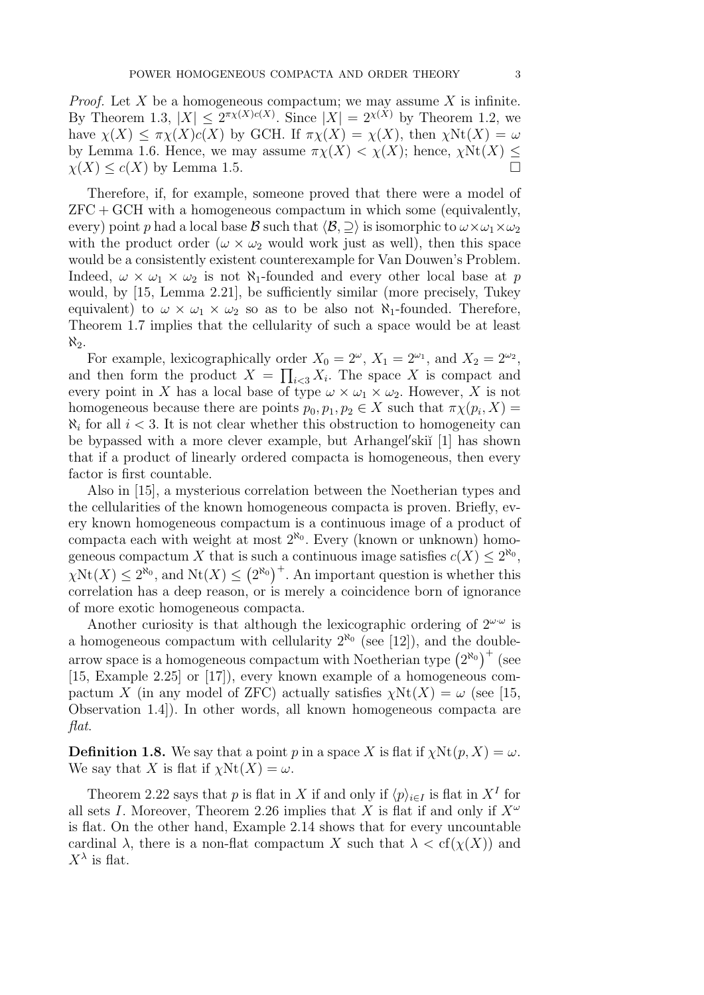*Proof.* Let  $X$  be a homogeneous compactum; we may assume  $X$  is infinite. By Theorem 1.3,  $|X| \leq 2^{\pi \chi(X)c(X)}$ . Since  $|X| = 2^{\chi(X)}$  by Theorem 1.2, we have  $\chi(X) \leq \pi \chi(X)c(X)$  by GCH. If  $\pi \chi(X) = \chi(X)$ , then  $\chi(\chi) = \omega$ by Lemma 1.6. Hence, we may assume  $\pi \chi(X) < \chi(X)$ ; hence,  $\chi \text{Nt}(X)$  <  $\chi(X) \leq c(X)$  by Lemma 1.5.

Therefore, if, for example, someone proved that there were a model of  $ZFC + GCH$  with a homogeneous compactum in which some (equivalently, every) point p had a local base B such that  $\langle B, \supseteq \rangle$  is isomorphic to  $\omega \times \omega_1 \times \omega_2$ with the product order  $(\omega \times \omega_2)$  would work just as well, then this space would be a consistently existent counterexample for Van Douwen's Problem. Indeed,  $\omega \times \omega_1 \times \omega_2$  is not N<sub>1</sub>-founded and every other local base at p would, by [15, Lemma 2.21], be sufficiently similar (more precisely, Tukey equivalent) to  $\omega \times \omega_1 \times \omega_2$  so as to be also not  $\aleph_1$ -founded. Therefore, Theorem 1.7 implies that the cellularity of such a space would be at least  $\aleph_2$ .

For example, lexicographically order  $X_0 = 2^{\omega}$ ,  $X_1 = 2^{\omega_1}$ , and  $X_2 = 2^{\omega_2}$ , and then form the product  $X = \prod_{i \leq 3} X_i$ . The space X is compact and every point in X has a local base of type  $\omega \times \omega_1 \times \omega_2$ . However, X is not homogeneous because there are points  $p_0, p_1, p_2 \in X$  such that  $\pi \chi(p_i, X) =$  $\aleph_i$  for all  $i < 3$ . It is not clear whether this obstruction to homogeneity can be bypassed with a more clever example, but Arhangel'skiı̆<sup>[1]</sup> has shown that if a product of linearly ordered compacta is homogeneous, then every factor is first countable.

Also in [15], a mysterious correlation between the Noetherian types and the cellularities of the known homogeneous compacta is proven. Briefly, every known homogeneous compactum is a continuous image of a product of compacta each with weight at most  $2^{\aleph_0}$ . Every (known or unknown) homogeneous compactum X that is such a continuous image satisfies  $c(X) \leq 2^{\aleph_0}$ ,  $\chi(\text{Nt}(X)) \leq 2^{\aleph_0}$ , and  $\text{Nt}(X) \leq (2^{\aleph_0})^+$ . An important question is whether this correlation has a deep reason, or is merely a coincidence born of ignorance of more exotic homogeneous compacta.

Another curiosity is that although the lexicographic ordering of  $2^{\omega \cdot \omega}$  is a homogeneous compactum with cellularity  $2^{\aleph_0}$  (see [12]), and the doublearrow space is a homogeneous compactum with Noetherian type  $(2^{\aleph_0})^+$  (see [15, Example 2.25] or [17]), every known example of a homogeneous compactum X (in any model of ZFC) actually satisfies  $\chi \text{Nt}(X) = \omega$  (see [15, Observation 1.4]). In other words, all known homogeneous compacta are flat.

**Definition 1.8.** We say that a point p in a space X is flat if  $\chi \text{Nt}(p, X) = \omega$ . We say that X is flat if  $\chi \text{Nt}(X) = \omega$ .

Theorem 2.22 says that p is flat in X if and only if  $\langle p \rangle_{i \in I}$  is flat in  $X^I$  for all sets I. Moreover, Theorem 2.26 implies that X is flat if and only if  $X^{\omega}$ is flat. On the other hand, Example 2.14 shows that for every uncountable cardinal  $\lambda$ , there is a non-flat compactum X such that  $\lambda < \text{cf}(\chi(X))$  and  $X^{\lambda}$  is flat.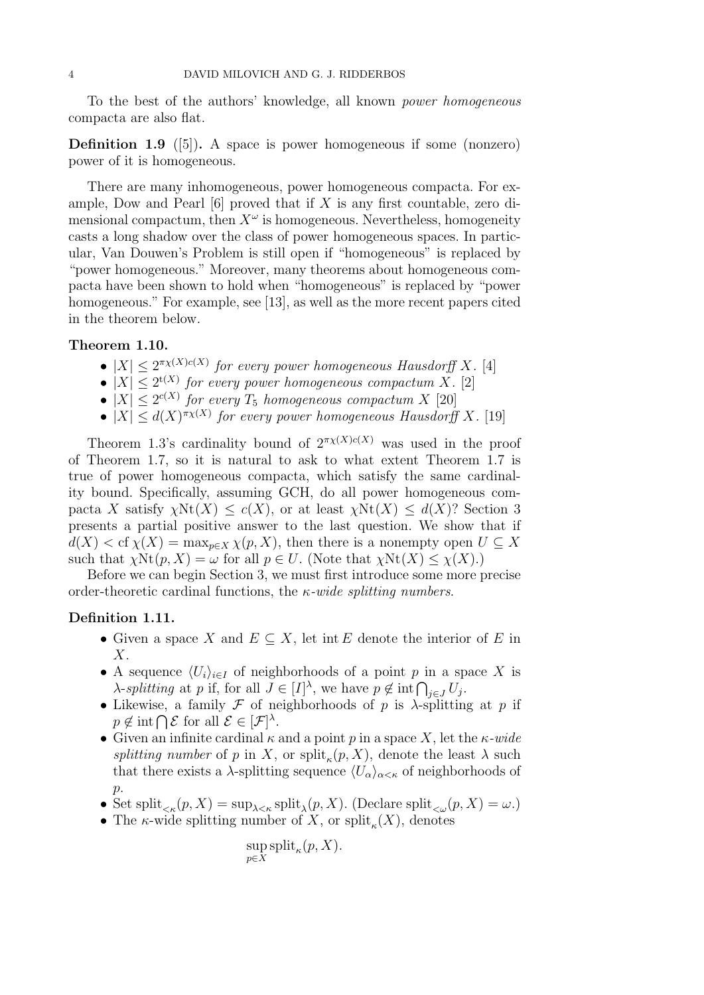To the best of the authors' knowledge, all known power homogeneous compacta are also flat.

**Definition 1.9** ([5]). A space is power homogeneous if some (nonzero) power of it is homogeneous.

There are many inhomogeneous, power homogeneous compacta. For example, Dow and Pearl  $[6]$  proved that if X is any first countable, zero dimensional compactum, then  $X^{\omega}$  is homogeneous. Nevertheless, homogeneity casts a long shadow over the class of power homogeneous spaces. In particular, Van Douwen's Problem is still open if "homogeneous" is replaced by "power homogeneous." Moreover, many theorems about homogeneous compacta have been shown to hold when "homogeneous" is replaced by "power homogeneous." For example, see [13], as well as the more recent papers cited in the theorem below.

#### Theorem 1.10.

- $|X| \leq 2^{\pi_X(X)c(X)}$  for every power homogeneous Hausdorff X. [4]
- $|X| \leq 2^{t(X)}$  for every power homogeneous compactum X. [2]
- $|X| \leq 2^{c(X)}$  for every  $T_5$  homogeneous compactum X [20]
- $|X| \leq d(X)^{\pi_X(X)}$  for every power homogeneous Hausdorff X. [19]

Theorem 1.3's cardinality bound of  $2^{\pi \chi(X)c(X)}$  was used in the proof of Theorem 1.7, so it is natural to ask to what extent Theorem 1.7 is true of power homogeneous compacta, which satisfy the same cardinality bound. Specifically, assuming GCH, do all power homogeneous compacta X satisfy  $\chi \text{Nt}(X) \leq c(X)$ , or at least  $\chi \text{Nt}(X) \leq d(X)$ ? Section 3 presents a partial positive answer to the last question. We show that if  $d(X) < \text{cf } \chi(X) = \max_{p \in X} \chi(p, X)$ , then there is a nonempty open  $U \subseteq X$ such that  $\chi \text{Nt}(p, X) = \omega$  for all  $p \in U$ . (Note that  $\chi \text{Nt}(X) \leq \chi(X)$ .)

Before we can begin Section 3, we must first introduce some more precise order-theoretic cardinal functions, the  $\kappa$ -wide splitting numbers.

### Definition 1.11.

- Given a space X and  $E \subseteq X$ , let int E denote the interior of E in  $X$ .
- A sequence  $\langle U_i \rangle_{i \in I}$  of neighborhoods of a point p in a space X is  $\lambda$ -splitting at p if, for all  $J \in [I]^{\lambda}$ , we have  $p \notin \text{int} \bigcap_{j \in J} U_j$ .
- Likewise, a family  $\mathcal F$  of neighborhoods of p is  $\lambda$ -splitting at p if  $p \notin \text{int} \bigcap \mathcal{E}$  for all  $\mathcal{E} \in [\mathcal{F}]^{\lambda}$ .
- Given an infinite cardinal  $\kappa$  and a point p in a space X, let the  $\kappa$ -wide splitting number of p in X, or split<sub> $\kappa$ </sub> $(p, X)$ , denote the least  $\lambda$  such that there exists a  $\lambda$ -splitting sequence  $\langle U_{\alpha}\rangle_{\alpha\leq\kappa}$  of neighborhoods of  $p$ .
- Set split<sub> $\zeta_{\kappa}(p, X) = \sup_{\lambda \leq \kappa} \text{split}_{\lambda}(p, X)$ . (Declare split $\zeta_{\omega}(p, X) = \omega$ .)</sub>
- The  $\kappa$ -wide splitting number of X, or split<sub> $\kappa$ </sub>(X), denotes

$$
\sup_{p \in X} \text{split}_{\kappa}(p, X).
$$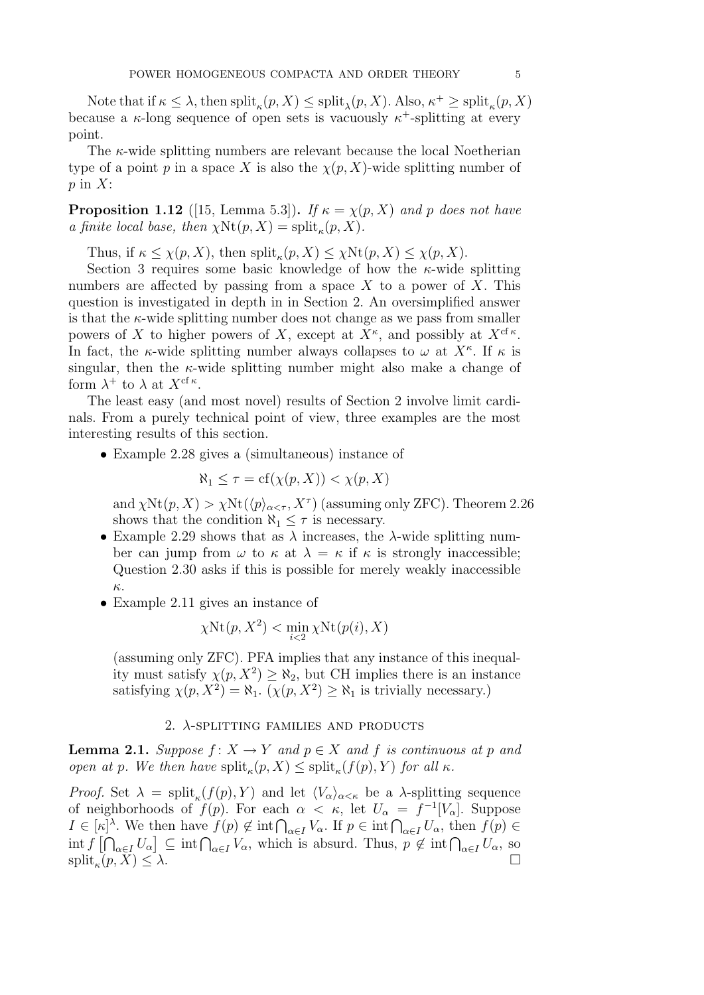Note that if  $\kappa \leq \lambda$ , then  $\text{split}_{\kappa}(p, X) \leq \text{split}_{\lambda}(p, X)$ . Also,  $\kappa^+ \geq \text{split}_{\kappa}(p, X)$ because a  $\kappa$ -long sequence of open sets is vacuously  $\kappa^+$ -splitting at every point.

The  $\kappa$ -wide splitting numbers are relevant because the local Noetherian type of a point p in a space X is also the  $\chi(p, X)$ -wide splitting number of  $p$  in  $X$ :

**Proposition 1.12** ([15, Lemma 5.3]). If  $\kappa = \chi(p, X)$  and p does not have a finite local base, then  $\chi \text{Nt}(p, X) = \text{split}_{\kappa}(p, X)$ .

Thus, if  $\kappa \leq \chi(p, X)$ , then  $\text{split}_{\kappa}(p, X) \leq \chi \text{Nt}(p, X) \leq \chi(p, X)$ .

Section 3 requires some basic knowledge of how the  $\kappa$ -wide splitting numbers are affected by passing from a space X to a power of X. This question is investigated in depth in in Section 2. An oversimplified answer is that the  $\kappa$ -wide splitting number does not change as we pass from smaller powers of X to higher powers of X, except at  $X^{\kappa}$ , and possibly at  $X^{\epsilon \kappa}$ . In fact, the  $\kappa$ -wide splitting number always collapses to  $\omega$  at  $X^{\kappa}$ . If  $\kappa$  is singular, then the  $\kappa$ -wide splitting number might also make a change of form  $\lambda^+$  to  $\lambda$  at  $X^{\text{cf } \kappa}$ .

The least easy (and most novel) results of Section 2 involve limit cardinals. From a purely technical point of view, three examples are the most interesting results of this section.

• Example 2.28 gives a (simultaneous) instance of

$$
\aleph_1 \le \tau = \text{cf}(\chi(p, X)) < \chi(p, X)
$$

and  $\chi(\text{Nt}(p, X) > \chi(\text{Nt}(\langle p \rangle_{\alpha \leq \tau}, X^{\tau}))$  (assuming only ZFC). Theorem 2.26 shows that the condition  $\aleph_1 \leq \tau$  is necessary.

- Example 2.29 shows that as  $\lambda$  increases, the  $\lambda$ -wide splitting number can jump from  $\omega$  to  $\kappa$  at  $\lambda = \kappa$  if  $\kappa$  is strongly inaccessible; Question 2.30 asks if this is possible for merely weakly inaccessible κ.
- Example 2.11 gives an instance of

$$
\chi \mathrm{Nt}(p,X^2) < \min_{i<2} \chi \mathrm{Nt}(p(i),X)
$$

(assuming only ZFC). PFA implies that any instance of this inequality must satisfy  $\chi(p, X^2) \geq \aleph_2$ , but CH implies there is an instance satisfying  $\chi(p, X^2) = \aleph_1$ .  $(\chi(p, X^2) \ge \aleph_1$  is trivially necessary.)

### 2.  $\lambda$ -SPLITTING FAMILIES AND PRODUCTS

**Lemma 2.1.** Suppose  $f: X \to Y$  and  $p \in X$  and f is continuous at p and open at p. We then have  $\text{split}_{\kappa}(p, X) \leq \text{split}_{\kappa}(f(p), Y)$  for all  $\kappa$ .

*Proof.* Set  $\lambda = \text{split}_\kappa(f(p), Y)$  and let  $\langle V_\alpha \rangle_{\alpha \leq \kappa}$  be a  $\lambda$ -splitting sequence of neighborhoods of  $f(p)$ . For each  $\alpha < \kappa$ , let  $U_{\alpha} = f^{-1}[V_{\alpha}]$ . Suppose  $I \in [\kappa]^\lambda$ . We then have  $f(p) \notin \text{int} \bigcap_{\alpha \in I} V_\alpha$ . If  $p \in \text{int} \bigcap_{\alpha \in I} U_\alpha$ , then  $f(p) \in$  $\int \inf \{ \bigcap_{\alpha \in I} U_{\alpha} \} \subseteq \inf \bigcap_{\alpha \in I} V_{\alpha}$ , which is absurd. Thus,  $p \notin \inf \bigcap_{\alpha \in I} U_{\alpha}$ , so  $\text{split}_{\kappa}(p, \bar{X}) \leq \lambda.$  $(p, X) \leq \lambda.$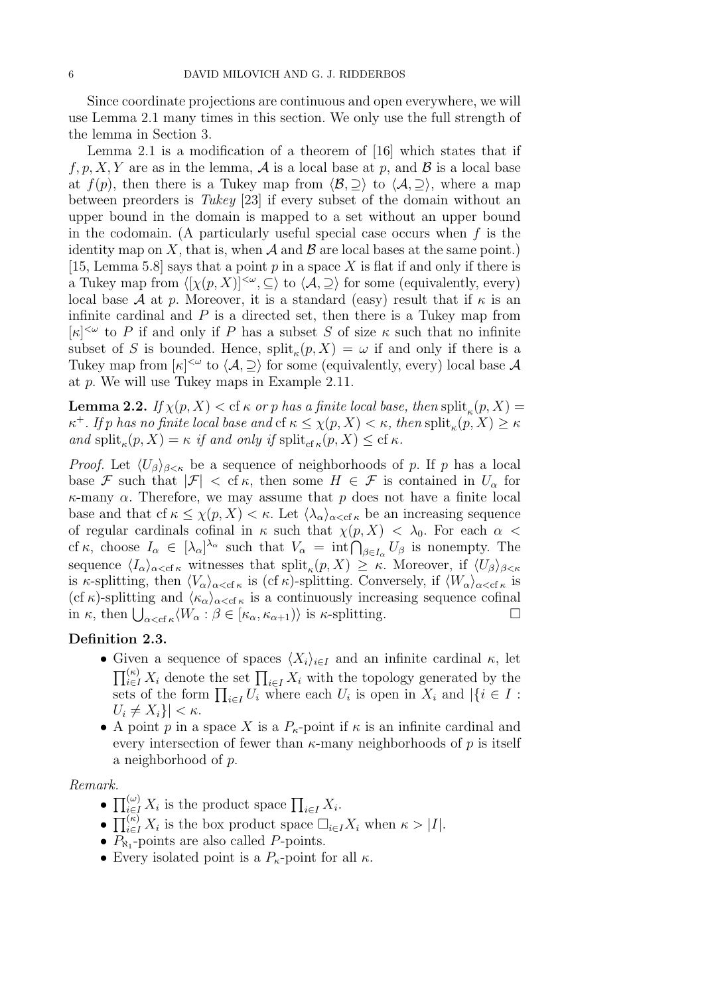Since coordinate projections are continuous and open everywhere, we will use Lemma 2.1 many times in this section. We only use the full strength of the lemma in Section 3.

Lemma 2.1 is a modification of a theorem of [16] which states that if  $f, p, X, Y$  are as in the lemma, A is a local base at p, and B is a local base at  $f(p)$ , then there is a Tukey map from  $\langle \mathcal{B}, \supseteq \rangle$  to  $\langle \mathcal{A}, \supseteq \rangle$ , where a map between preorders is Tukey [23] if every subset of the domain without an upper bound in the domain is mapped to a set without an upper bound in the codomain. (A particularly useful special case occurs when  $f$  is the identity map on X, that is, when A and B are local bases at the same point.) [15, Lemma 5.8] says that a point  $p$  in a space  $X$  is flat if and only if there is a Tukey map from  $\langle [\chi(p, X)]^{\langle \omega}, \subseteq \rangle$  to  $\langle A, \supseteq \rangle$  for some (equivalently, every) local base A at p. Moreover, it is a standard (easy) result that if  $\kappa$  is an infinite cardinal and  $P$  is a directed set, then there is a Tukey map from  $[\kappa]^{<\omega}$  to P if and only if P has a subset S of size  $\kappa$  such that no infinite subset of S is bounded. Hence,  $\text{split}_{\kappa}(p, X) = \omega$  if and only if there is a Tukey map from  $\kappa$ <sup>|< $\omega$ </sup> to  $\langle A, \supseteq \rangle$  for some (equivalently, every) local base A at p. We will use Tukey maps in Example 2.11.

**Lemma 2.2.** If  $\chi(p, X) <$  cf  $\kappa$  or  $p$  has a finite local base, then  $\text{split}_{\kappa}(p, X) =$  $\kappa^+$ . If p has no finite local base and cf  $\kappa \le \chi(p,X) < \kappa$ , then  $\text{split}_{\kappa}(p,X) \ge \kappa$ and split<sub> $\kappa$ </sub> $(p, X) = \kappa$  *if and only if* split<sub>cf  $\kappa$ </sub> $(p, X) \leq$  cf  $\kappa$ .

*Proof.* Let  $\langle U_{\beta} \rangle_{\beta \leq \kappa}$  be a sequence of neighborhoods of p. If p has a local base F such that  $|\mathcal{F}| < \text{cf } \kappa$ , then some  $H \in \mathcal{F}$  is contained in  $U_{\alpha}$  for  $\kappa$ -many  $\alpha$ . Therefore, we may assume that p does not have a finite local base and that cf  $\kappa \leq \chi(p, X) < \kappa$ . Let  $\langle \lambda_{\alpha} \rangle_{\alpha < \text{cf } \kappa}$  be an increasing sequence of regular cardinals cofinal in  $\kappa$  such that  $\chi(p, X) < \lambda_0$ . For each  $\alpha$ cf  $\kappa$ , choose  $I_{\alpha} \in [\lambda_{\alpha}]^{\lambda_{\alpha}}$  such that  $V_{\alpha} = \inf \bigcap_{\beta \in I_{\alpha}} U_{\beta}$  is nonempty. The sequence  $\langle I_{\alpha}\rangle_{\alpha<\text{cf }\kappa}$  witnesses that  $\text{split}_{\kappa}(p, X) \geq \kappa$ . Moreover, if  $\langle U_{\beta}\rangle_{\beta<\kappa}$ is  $\kappa$ -splitting, then  $\langle V_\alpha \rangle_{\alpha < \text{cf } \kappa}$  is (cf  $\kappa$ )-splitting. Conversely, if  $\langle W_\alpha \rangle_{\alpha < \text{cf } \kappa}$  is (cf  $\kappa$ )-splitting and  $\langle \kappa_{\alpha} \rangle_{\alpha < \text{cf } \kappa}$  is a continuously increasing sequence cofinal in  $\kappa$ , then  $\bigcup_{\alpha < \text{cf } \kappa} \langle W_{\alpha} : \beta \in [\kappa_{\alpha}, \kappa_{\alpha+1}) \rangle$  is  $\kappa$ -splitting.

## Definition 2.3.

- Given a sequence of spaces  $\langle X_i \rangle_{i \in I}$  and an infinite cardinal  $\kappa$ , let  $\prod_{i\in I}^{(\kappa)} X_i$  denote the set  $\prod_{i\in I} X_i$  with the topology generated by the sets of the form  $\prod_{i\in I} U_i$  where each  $U_i$  is open in  $X_i$  and  $|\{i\in I:$  $U_i \neq X_i\}| < \kappa$ .
- A point p in a space X is a  $P_{\kappa}$ -point if  $\kappa$  is an infinite cardinal and every intersection of fewer than  $\kappa$ -many neighborhoods of p is itself a neighborhood of p.

### Remark.

- $\prod_{i\in I}^{(\omega)} X_i$  is the product space  $\prod_{i\in I} X_i$ .
- $\prod_{i\in I}^{(\kappa)} X_i$  is the box product space  $\Box_{i\in I} X_i$  when  $\kappa > |I|$ .
- $P_{\aleph_1}$ -points are also called P-points.
- Every isolated point is a  $P_{\kappa}$ -point for all  $\kappa$ .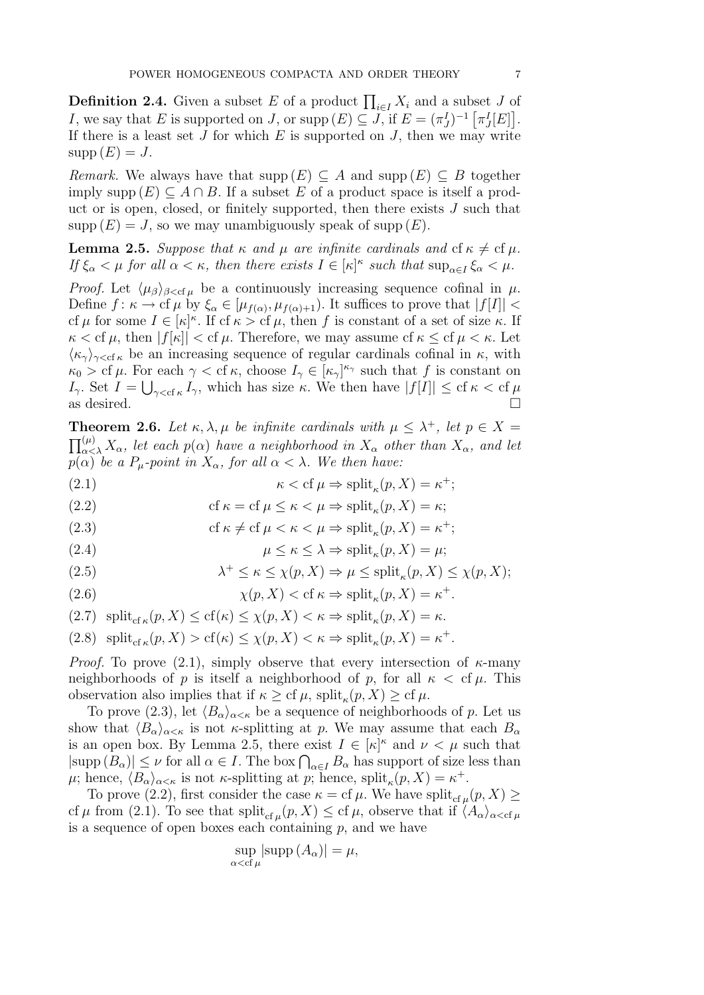**Definition 2.4.** Given a subset E of a product  $\prod_{i\in I} X_i$  and a subset J of I, we say that E is supported on J, or supp  $(E) \subseteq J$ , if  $E = (\pi_J^I)^{-1} [\pi_J^I[E]]$ . If there is a least set J for which E is supported on J, then we may write  $supp(E) = J.$ 

Remark. We always have that supp  $(E) \subseteq A$  and supp  $(E) \subseteq B$  together imply supp  $(E) \subseteq A \cap B$ . If a subset E of a product space is itself a product or is open, closed, or finitely supported, then there exists J such that  $supp(E) = J$ , so we may unambiguously speak of supp  $(E)$ .

**Lemma 2.5.** Suppose that  $\kappa$  and  $\mu$  are infinite cardinals and cf  $\kappa \neq c$  f $\mu$ . If  $\xi_{\alpha} < \mu$  for all  $\alpha < \kappa$ , then there exists  $I \in [\kappa]^{\kappa}$  such that  $\sup_{\alpha \in I} \xi_{\alpha} < \mu$ .

*Proof.* Let  $\langle \mu_{\beta} \rangle_{\beta < \text{cf } \mu}$  be a continuously increasing sequence cofinal in  $\mu$ . Define  $f: \kappa \to \mathrm{cf} \,\mu$  by  $\xi_{\alpha} \in [\mu_{f(\alpha)}, \mu_{f(\alpha)+1})$ . It suffices to prove that  $|f[I]| <$ cf  $\mu$  for some  $I \in [\kappa]^{\kappa}$ . If cf  $\kappa >$  cf  $\mu$ , then f is constant of a set of size  $\kappa$ . If  $\kappa <$  cf  $\mu$ , then  $|f[\kappa]| <$  cf  $\mu$ . Therefore, we may assume cf  $\kappa \leq$  cf  $\mu < \kappa$ . Let  $\langle \kappa_{\gamma} \rangle_{\gamma < \text{cf } \kappa}$  be an increasing sequence of regular cardinals cofinal in  $\kappa$ , with  $\kappa_0 > c f \mu$ . For each  $\gamma < c f \kappa$ , choose  $I_{\gamma} \in [\kappa_{\gamma}]^{\kappa_{\gamma}}$  such that f is constant on  $I_{\gamma}$ . Set  $I = \bigcup_{\gamma < \text{cf } \kappa} I_{\gamma}$ , which has size  $\kappa$ . We then have  $|f[I]| \leq \text{cf } \kappa < \text{cf } \mu$ as desired.  $\Box$ 

**Theorem 2.6.** Let  $\kappa, \lambda, \mu$  be infinite cardinals with  $\mu \leq \lambda^+$ , let  $p \in X =$  $\prod_{\alpha<\lambda}^{(\mu)} X_\alpha$ , let each  $p(\alpha)$  have a neighborhood in  $X_\alpha$  other than  $X_\alpha$ , and let  $p(\alpha)$  be a P<sub>u</sub>-point in  $X_{\alpha}$ , for all  $\alpha < \lambda$ . We then have:

(2.1) 
$$
\kappa < \text{cf } \mu \Rightarrow \text{split}_{\kappa}(p, X) = \kappa^+;
$$

(2.2) 
$$
\text{cf } \kappa = \text{cf } \mu \leq \kappa < \mu \Rightarrow \text{split}_{\kappa}(p, X) = \kappa;
$$

(2.3) 
$$
\text{cf } \kappa \neq \text{cf } \mu < \kappa < \mu \Rightarrow \text{split}_{\kappa}(p, X) = \kappa^+;
$$

(2.4) 
$$
\mu \leq \kappa \leq \lambda \Rightarrow \text{split}_{\kappa}(p, X) = \mu;
$$

(2.5) 
$$
\lambda^+ \leq \kappa \leq \chi(p, X) \Rightarrow \mu \leq \text{split}_{\kappa}(p, X) \leq \chi(p, X);
$$

(2.6) 
$$
\chi(p, X) < \text{cf } \kappa \Rightarrow \text{split}_{\kappa}(p, X) = \kappa^+.
$$

$$
(2.7) \ \ \text{split}_{\text{cf }\kappa}(p, X) \le \text{cf}(\kappa) \le \chi(p, X) < \kappa \Rightarrow \text{split}_{\kappa}(p, X) = \kappa.
$$

(2.8) split<sub>cf</sub><sub>$$
\kappa
$$</sub> $(p, X) > cf(\kappa) \le \chi(p, X) < \kappa \Rightarrow \text{split}_{\kappa}(p, X) = \kappa^+.$ 

*Proof.* To prove (2.1), simply observe that every intersection of  $\kappa$ -many neighborhoods of p is itself a neighborhood of p, for all  $\kappa <$  cf  $\mu$ . This observation also implies that if  $\kappa \geq cf \mu$ , split<sub> $\kappa$ </sub> $(p, X) \geq cf \mu$ .

To prove (2.3), let  $\langle B_{\alpha}\rangle_{\alpha<\kappa}$  be a sequence of neighborhoods of p. Let us show that  $\langle B_{\alpha}\rangle_{\alpha<\kappa}$  is not  $\kappa$ -splitting at p. We may assume that each  $B_{\alpha}$ is an open box. By Lemma 2.5, there exist  $I \in [\kappa]^{\kappa}$  and  $\nu < \mu$  such that  $|\text{supp}(B_\alpha)| \leq \nu$  for all  $\alpha \in I$ . The box  $\bigcap_{\alpha \in I} B_\alpha$  has support of size less than  $\mu$ ; hence,  $\langle B_{\alpha}\rangle_{\alpha<\kappa}$  is not  $\kappa$ -splitting at p; hence, split<sub> $\kappa$ </sub> $(p, X) = \kappa^+$ .

To prove (2.2), first consider the case  $\kappa = \text{cf }\mu$ . We have split<sub>cf  $\mu$ </sub> $(p, X) \ge$ cf  $\mu$  from (2.1). To see that  $\text{split}_{\text{cf }\mu}(p, X) \leq \text{cf }\mu$ , observe that if  $\langle A_{\alpha}\rangle_{\alpha<\text{cf }\mu}$ is a sequence of open boxes each containing  $p$ , and we have

$$
\sup_{\alpha < \text{cf }\mu} |\text{supp }(A_{\alpha})| = \mu,
$$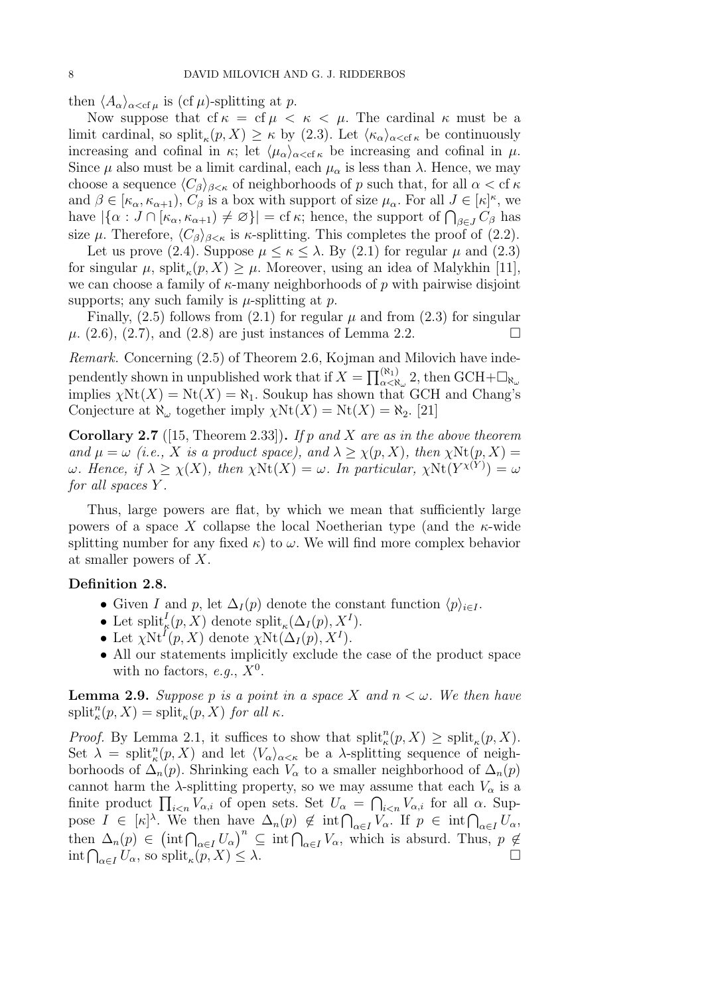then  $\langle A_{\alpha}\rangle_{\alpha<\text{cf }\mu}$  is (cf  $\mu$ )-splitting at p.

Now suppose that cf  $\kappa =$  cf  $\mu < \kappa < \mu$ . The cardinal  $\kappa$  must be a limit cardinal, so split<sub> $\kappa$ </sub> $(p, X) \geq \kappa$  by (2.3). Let  $\langle \kappa_{\alpha} \rangle_{\alpha < \text{cf } \kappa}$  be continuously increasing and cofinal in  $\kappa$ ; let  $\langle \mu_{\alpha} \rangle_{\alpha < \text{cf } \kappa}$  be increasing and cofinal in  $\mu$ . Since  $\mu$  also must be a limit cardinal, each  $\mu_{\alpha}$  is less than  $\lambda$ . Hence, we may choose a sequence  $\langle C_\beta \rangle_{\beta \leq \kappa}$  of neighborhoods of p such that, for all  $\alpha < \text{cf } \kappa$ and  $\beta \in [\kappa_\alpha, \kappa_{\alpha+1}), C_\beta$  is a box with support of size  $\mu_\alpha$ . For all  $J \in [\kappa]^\kappa$ , we have  $|\{\alpha: J \cap [\kappa_{\alpha}, \kappa_{\alpha+1}) \neq \varnothing\}| = \text{cf } \kappa$ ; hence, the support of  $\bigcap_{\beta \in J} C_{\beta}$  has size  $\mu$ . Therefore,  $\langle C_{\beta} \rangle_{\beta \leq \kappa}$  is  $\kappa$ -splitting. This completes the proof of (2.2).

Let us prove (2.4). Suppose  $\mu \leq \kappa \leq \lambda$ . By (2.1) for regular  $\mu$  and (2.3) for singular  $\mu$ , split<sub> $\kappa$ </sub> $(p, X) \geq \mu$ . Moreover, using an idea of Malykhin [11], we can choose a family of  $\kappa$ -many neighborhoods of p with pairwise disjoint supports; any such family is  $\mu$ -splitting at p.

Finally,  $(2.5)$  follows from  $(2.1)$  for regular  $\mu$  and from  $(2.3)$  for singular  $\mu$ . (2.6), (2.7), and (2.8) are just instances of Lemma 2.2.

Remark. Concerning (2.5) of Theorem 2.6, Kojman and Milovich have independently shown in unpublished work that if  $X = \prod_{\alpha<\aleph_\omega}^{(\aleph_1)} 2$ , then  $GCH+\Box_{\aleph_\omega}$ implies  $\chi \text{Nt}(X) = \text{Nt}(X) = \aleph_1$ . Soukup has shown that GCH and Chang's Conjecture at  $\aleph_{\omega}$  together imply  $\chi \text{Nt}(X) = \text{Nt}(X) = \aleph_2$ . [21]

**Corollary 2.7** ([15, Theorem 2.33]). If p and X are as in the above theorem and  $\mu = \omega$  (i.e., X is a product space), and  $\lambda \geq \chi(p, X)$ , then  $\chi \text{Nt}(p, X) =$  $\omega$ . Hence, if  $\lambda \geq \chi(X)$ , then  $\chi \text{Nt}(X) = \omega$ . In particular,  $\chi \text{Nt}(Y^{\chi(Y)}) = \omega$ for all spaces Y.

Thus, large powers are flat, by which we mean that sufficiently large powers of a space X collapse the local Noetherian type (and the  $\kappa$ -wide splitting number for any fixed  $\kappa$ ) to  $\omega$ . We will find more complex behavior at smaller powers of X.

## Definition 2.8.

- Given I and p, let  $\Delta_I(p)$  denote the constant function  $\langle p \rangle_{i \in I}$ .
- Let  $\text{split}_{\kappa}(p, X)$  denote  $\text{split}_{\kappa}(\Delta_I(p), X^I)$ .
- Let  $\chi \text{Nt}^{I}(p, X)$  denote  $\chi \text{Nt}(\Delta_{I}(p), X^{I}).$
- All our statements implicitly exclude the case of the product space with no factors, e.g.,  $X^0$ .

**Lemma 2.9.** Suppose p is a point in a space X and  $n < \omega$ . We then have  $split_{\kappa}^{n}(p, X) = \text{split}_{\kappa}(p, X) \text{ for all } \kappa.$ 

*Proof.* By Lemma 2.1, it suffices to show that  $split_{\kappa}^{n}(p, X) \geq split_{\kappa}(p, X)$ . Set  $\lambda = \text{split}_{\kappa}^{n}(p, X)$  and let  $\langle V_{\alpha}\rangle_{\alpha \leq \kappa}$  be a  $\lambda$ -splitting sequence of neighborhoods of  $\Delta_n(p)$ . Shrinking each  $V_\alpha$  to a smaller neighborhood of  $\Delta_n(p)$ cannot harm the  $\lambda$ -splitting property, so we may assume that each  $V_{\alpha}$  is a finite product  $\prod_{i\leq n}V_{\alpha,i}$  of open sets. Set  $U_{\alpha}=\bigcap_{i\leq n}V_{\alpha,i}$  for all  $\alpha$ . Suppose  $I \in [\kappa]^\lambda$ . We then have  $\Delta_n(p) \notin \text{int} \bigcap_{\alpha \in I} V_\alpha$ . If  $p \in \text{int} \bigcap_{\alpha \in I} U_\alpha$ , then  $\Delta_n(p) \in (\text{int} \bigcap_{\alpha \in I} U_\alpha)^n \subseteq \text{int} \bigcap_{\alpha \in I} V_\alpha$ , which is absurd. Thus,  $p \notin$  $\int \int_{\alpha \in I} U_{\alpha}$ , so split<sub> $\kappa$ </sub>  $(p, X) \leq \lambda.$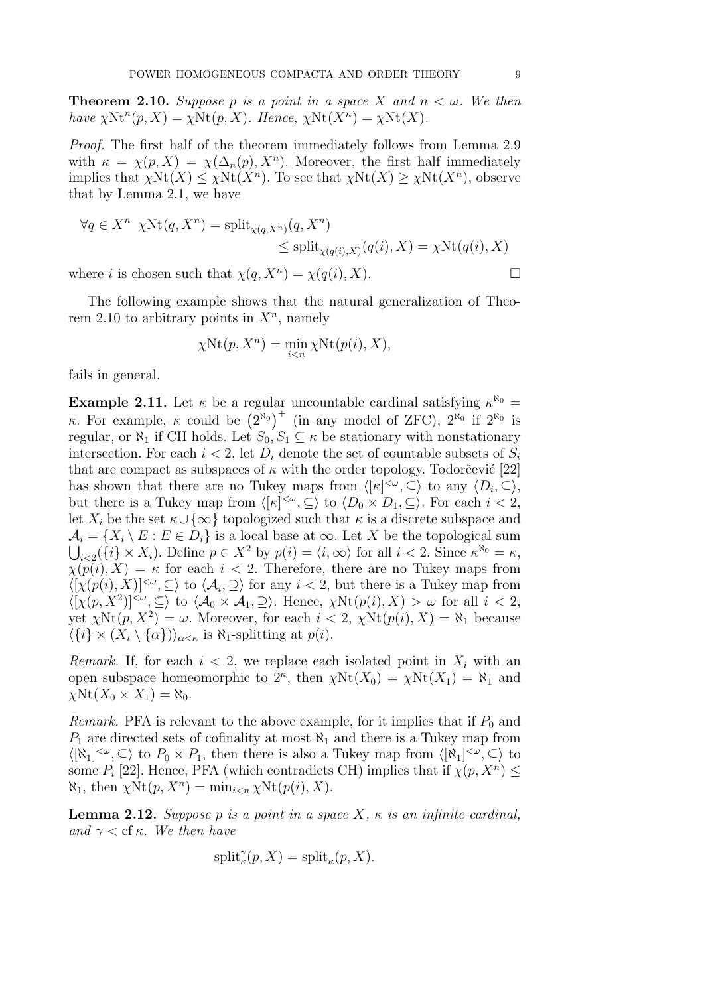**Theorem 2.10.** Suppose p is a point in a space X and  $n < \omega$ . We then have  $\chi \text{Nt}^n(p, X) = \chi \text{Nt}(p, X)$ . Hence,  $\chi \text{Nt}(X^n) = \chi \text{Nt}(X)$ .

Proof. The first half of the theorem immediately follows from Lemma 2.9 with  $\kappa = \chi(p, X) = \chi(\Delta_n(p), X^n)$ . Moreover, the first half immediately implies that  $\chi \text{Nt}(X) \leq \chi \text{Nt}(X^n)$ . To see that  $\chi \text{Nt}(X) \geq \chi \text{Nt}(X^n)$ , observe that by Lemma 2.1, we have

$$
\forall q \in X^n \ \chi \text{Nt}(q, X^n) = \text{split}_{\chi(q, X^n)}(q, X^n) \leq \text{split}_{\chi(q(i), X)}(q(i), X) = \chi \text{Nt}(q(i), X)
$$

where *i* is chosen such that  $\chi(q, X^n) = \chi(q(i), X)$ .

The following example shows that the natural generalization of Theorem 2.10 to arbitrary points in  $X<sup>n</sup>$ , namely

$$
\chi \text{Nt}(p, X^n) = \min_{i < n} \chi \text{Nt}(p(i), X),
$$

fails in general.

**Example 2.11.** Let  $\kappa$  be a regular uncountable cardinal satisfying  $\kappa^{\aleph_0}$  = κ. For example, κ could be  $(2^{R_0})^+$  (in any model of ZFC),  $2^{R_0}$  if  $2^{R_0}$  is regular, or  $\chi_1$  if CH holds. Let  $S_0, S_1 \subseteq \kappa$  be stationary with nonstationary intersection. For each  $i < 2$ , let  $D_i$  denote the set of countable subsets of  $S_i$ that are compact as subspaces of  $\kappa$  with the order topology. Todorcevic [22] has shown that there are no Tukey maps from  $\langle [\kappa]^{<\omega}, \subseteq \rangle$  to any  $\langle D_i, \subseteq \rangle$ , but there is a Tukey map from  $\langle [\kappa]^{<\omega}, \subseteq \rangle$  to  $\langle D_0 \times D_1, \subseteq \rangle$ . For each  $i < 2$ , let  $X_i$  be the set  $\kappa \cup {\infty}$  topologized such that  $\kappa$  is a discrete subspace and  $\mathcal{A}_i = \{X_i \setminus E : E \in D_i\}$  is a local base at  $\infty$ . Let X be the topological sum  $\bigcup_{i<2}(\{i\}\times X_i)$ . Define  $p\in X^2$  by  $p(i) = \langle i,\infty\rangle$  for all  $i < 2$ . Since  $\kappa^{\aleph_0} = \kappa$ ,  $\chi(p(i), X) = \kappa$  for each  $i < 2$ . Therefore, there are no Tukey maps from  $\langle [\chi(p(i), X)]^{\langle \omega}, \subseteq \rangle$  to  $\langle \mathcal{A}_i, \supseteq \rangle$  for any  $i < 2$ , but there is a Tukey map from  $\langle [\chi(p, X^2)]^{<\omega}, \subseteq \rangle$  to  $\langle A_0 \times A_1, \supseteq \rangle$ . Hence,  $\chi \text{Nt}(p(i), X) > \omega$  for all  $i < 2$ , yet  $\chi \text{Nt}(p, X^2) = \omega$ . Moreover, for each  $i < 2$ ,  $\chi \text{Nt}(p(i), X) = \aleph_1$  because  $\langle \{i\} \times (X_i \setminus \{\alpha\})\rangle_{\alpha \leq \kappa}$  is  $\aleph_1$ -splitting at  $p(i)$ .

Remark. If, for each  $i < 2$ , we replace each isolated point in  $X_i$  with an open subspace homeomorphic to  $2^{\kappa}$ , then  $\chi \text{Nt}(X_0) = \chi \text{Nt}(X_1) = \aleph_1$  and  $\chi \text{Nt}(X_0 \times X_1) = \aleph_0.$ 

*Remark.* PFA is relevant to the above example, for it implies that if  $P_0$  and  $P_1$  are directed sets of cofinality at most  $\aleph_1$  and there is a Tukey map from  $\langle [\aleph_1]^{<\omega}, \subseteq \rangle$  to  $P_0 \times P_1$ , then there is also a Tukey map from  $\langle [\aleph_1]^{<\omega}, \subseteq \rangle$  to some  $P_i$  [22]. Hence, PFA (which contradicts CH) implies that if  $\chi(p, X^n) \leq$  $\aleph_1$ , then  $\chi \text{Nt}(p, X^n) = \min_{i \leq n} \chi \text{Nt}(p(i), X)$ .

**Lemma 2.12.** Suppose p is a point in a space X,  $\kappa$  is an infinite cardinal, and  $\gamma <$  cf  $\kappa$ . We then have

$$
\mathrm{split}^\gamma_\kappa(p,X)=\mathrm{split}_\kappa(p,X).
$$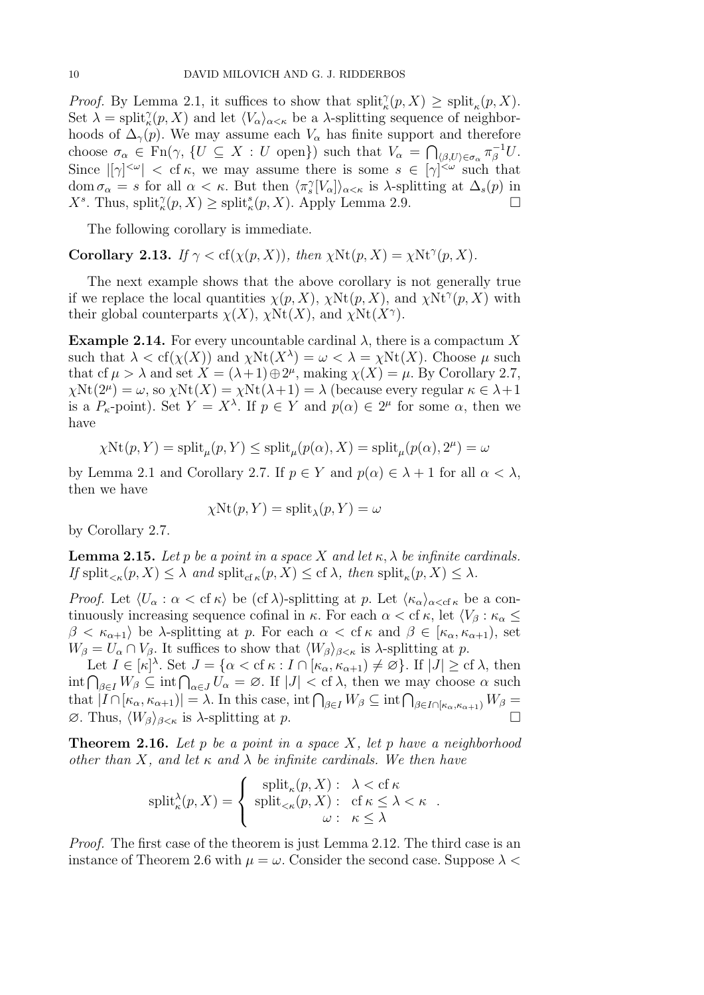*Proof.* By Lemma 2.1, it suffices to show that  $split_{\kappa}^{\gamma}(p, X) \geq split_{\kappa}(p, X)$ . Set  $\lambda = \text{split}(\chi_p(X))$  and let  $\langle V_\alpha \rangle_{\alpha \leq \kappa}$  be a  $\lambda$ -splitting sequence of neighborhoods of  $\Delta_{\gamma}(p)$ . We may assume each  $V_{\alpha}$  has finite support and therefore choose  $\sigma_{\alpha} \in \text{Fn}(\gamma, \{U \subseteq X : U \text{ open}\})$  such that  $V_{\alpha} = \bigcap_{\langle \beta, U \rangle \in \sigma_{\alpha}} \pi_{\beta}^{-1} U$ . Since  $|[\gamma]^{<\omega}|$  < cf  $\kappa$ , we may assume there is some  $s \in [\gamma]^{<\omega}$  such that dom  $\sigma_{\alpha} = s$  for all  $\alpha < \kappa$ . But then  $\langle \pi_s^{\gamma}[V_{\alpha}] \rangle_{\alpha < \kappa}$  is  $\lambda$ -splitting at  $\Delta_s(p)$  in  $X^s$ . Thus, split $_{\kappa}^{\gamma}(p, X) \ge \text{split}_{\kappa}^s(p, X)$ . Apply Lemma 2.9.

The following corollary is immediate.

Corollary 2.13. If  $\gamma < cf(\chi(p, X))$ , then  $\chi \text{Nt}(p, X) = \chi \text{Nt}^{\gamma}(p, X)$ .

The next example shows that the above corollary is not generally true if we replace the local quantities  $\chi(p, X)$ ,  $\chi \text{Nt}(p, X)$ , and  $\chi \text{Nt}^{\gamma}(p, X)$  with their global counterparts  $\chi(X)$ ,  $\chi(\text{Nt}(X))$ , and  $\chi(\text{Nt}(X^{\gamma}))$ .

**Example 2.14.** For every uncountable cardinal  $\lambda$ , there is a compactum X such that  $\lambda < \text{cf}(\chi(X))$  and  $\chi \text{Nt}(X^{\lambda}) = \omega < \lambda = \chi \text{Nt}(X)$ . Choose  $\mu$  such that cf  $\mu > \lambda$  and set  $X = (\lambda + 1) \oplus 2^{\mu}$ , making  $\chi(X) = \mu$ . By Corollary 2.7,  $\chi \text{Nt}(2^{\mu}) = \omega$ , so  $\chi \text{Nt}(X) = \chi \text{Nt}(\lambda + 1) = \lambda$  (because every regular  $\kappa \in \lambda + 1$ ) is a  $P_{\kappa}$ -point). Set  $Y = X^{\lambda}$ . If  $p \in Y$  and  $p(\alpha) \in 2^{\mu}$  for some  $\alpha$ , then we have

$$
\chi \text{Nt}(p, Y) = \text{split}_{\mu}(p, Y) \le \text{split}_{\mu}(p(\alpha), X) = \text{split}_{\mu}(p(\alpha), 2^{\mu}) = \omega
$$

by Lemma 2.1 and Corollary 2.7. If  $p \in Y$  and  $p(\alpha) \in \lambda + 1$  for all  $\alpha < \lambda$ , then we have

$$
\chi \text{Nt}(p, Y) = \text{split}_{\lambda}(p, Y) = \omega
$$

by Corollary 2.7.

**Lemma 2.15.** Let p be a point in a space X and let  $\kappa$ ,  $\lambda$  be infinite cardinals. If  $\text{split}_{\leq\kappa}(p, X) \leq \lambda$  and  $\text{split}_{\text{cf }\kappa}(p, X) \leq \text{cf }\lambda$ , then  $\text{split}_{\kappa}(p, X) \leq \lambda$ .

*Proof.* Let  $\langle U_{\alpha} : \alpha < \text{cf } \kappa \rangle$  be (cf  $\lambda$ )-splitting at p. Let  $\langle \kappa_{\alpha} \rangle_{\alpha < \text{cf } \kappa}$  be a continuously increasing sequence cofinal in  $\kappa$ . For each  $\alpha <$  cf  $\kappa$ , let  $\langle V_\beta : \kappa_\alpha \leq$  $\beta < \kappa_{\alpha+1}$  be  $\lambda$ -splitting at p. For each  $\alpha < \text{cf } \kappa$  and  $\beta \in [\kappa_{\alpha}, \kappa_{\alpha+1}),$  set  $W_{\beta} = U_{\alpha} \cap V_{\beta}$ . It suffices to show that  $\langle W_{\beta} \rangle_{\beta \leq \kappa}$  is  $\lambda$ -splitting at p.

Let  $I \in [\kappa]^\lambda$ . Set  $J = \{ \alpha < \text{cf } \kappa : I \cap [\kappa_\alpha, \kappa_{\alpha+1}) \neq \varnothing \}$ . If  $|J| \geq \text{cf } \lambda$ , then  $\int_{\beta \in I} W_{\beta} \subseteq \text{int} \bigcap_{\alpha \in J} U_{\alpha} = \emptyset$ . If  $|J| < \text{cf } \lambda$ , then we may choose  $\alpha$  such that  $|I \cap [\kappa_\alpha, \kappa_{\alpha+1})| = \lambda$ . In this case, int  $\bigcap_{\beta \in I} W_\beta \subseteq \text{int} \bigcap_{\beta \in I \cap [\kappa_\alpha, \kappa_{\alpha+1})} W_\beta =$  $\emptyset$ . Thus,  $\langle W_{\beta} \rangle_{\beta \leq \kappa}$  is  $\lambda$ -splitting at p.

**Theorem 2.16.** Let p be a point in a space X, let p have a neighborhood other than X, and let  $\kappa$  and  $\lambda$  be infinite cardinals. We then have

$$
\text{split}_{\kappa}^{\lambda}(p, X) = \begin{cases} \text{split}_{\kappa}(p, X): & \lambda < \text{cf } \kappa \\ \text{split}_{<\kappa}(p, X): & \text{cf } \kappa \leq \lambda < \kappa \\ \omega: & \kappa \leq \lambda \end{cases}.
$$

Proof. The first case of the theorem is just Lemma 2.12. The third case is an instance of Theorem 2.6 with  $\mu = \omega$ . Consider the second case. Suppose  $\lambda$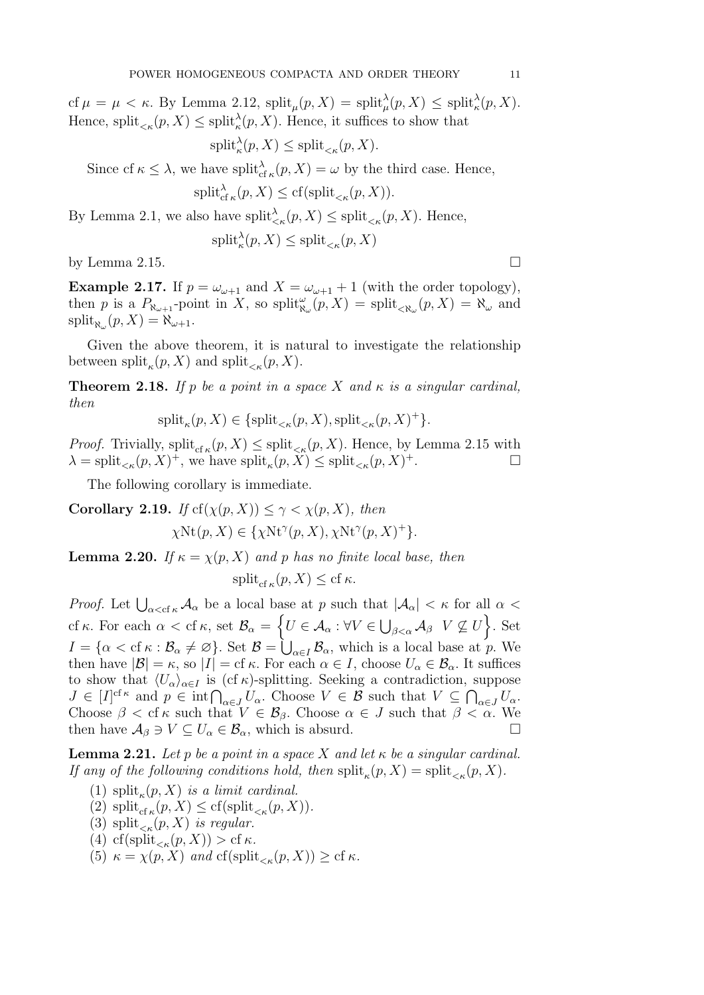cf  $\mu = \mu < \kappa$ . By Lemma 2.12,  $\text{split}_{\mu}(p, X) = \text{split}_{\mu}^{\lambda}(p, X) \leq \text{split}_{\kappa}^{\lambda}(p, X)$ . Hence, split<sub> $\lt k$ </sub> $(p, X) \le$  split $\lambda$ <sup>2</sup> $(p, X)$ . Hence, it suffices to show that

$$
\mathrm{split}_{\kappa}^{\lambda}(p, X) \le \mathrm{split}_{<\kappa}(p, X).
$$

Since cf  $\kappa \leq \lambda$ , we have split ${}_{cf\kappa}^{\lambda}(p, X) = \omega$  by the third case. Hence,

$$
\mathrm{split}_{\mathrm{cf}\,\kappa}^{\lambda}(p,X) \le \mathrm{cf}(\mathrm{split}_{\le \kappa}(p,X)).
$$

By Lemma 2.1, we also have  $\text{split}_{\leq \kappa}(p, X) \leq \text{split}_{\leq \kappa}(p, X)$ . Hence,

$$
\mathrm{split}_{\kappa}^{\lambda}(p, X) \le \mathrm{split}_{<\kappa}(p, X)
$$

by Lemma 2.15.  $\Box$ 

**Example 2.17.** If  $p = \omega_{\omega+1}$  and  $X = \omega_{\omega+1} + 1$  (with the order topology), then p is a  $P_{\aleph_{\omega+1}}$ -point in X, so split $_{\aleph_{\omega}}^{\omega}(p, X) = \text{split}_{\ltimes \aleph_{\omega}}(p, X) = \aleph_{\omega}$  and  $\text{split}_{\aleph_{\omega}}(p, X) = \aleph_{\omega+1}.$ 

Given the above theorem, it is natural to investigate the relationship between  $\text{split}_{\kappa}(p, X)$  and  $\text{split}_{\kappa}(p, X)$ .

**Theorem 2.18.** If p be a point in a space X and  $\kappa$  is a singular cardinal, then

$$
\mathrm{split}_{\kappa}(p, X) \in \{\mathrm{split}_{<\kappa}(p, X), \mathrm{split}_{<\kappa}(p, X)^+\}.
$$

*Proof.* Trivially,  $\text{split}_{\text{cf }\kappa}(p, X) \leq \text{split}_{\kappa}(p, X)$ . Hence, by Lemma 2.15 with  $\lambda = \text{split}_{\leq \kappa}(p, X)^+$ , we have  $\text{split}_{\kappa}(p, X) \leq \text{split}_{\leq \kappa}(p, X)$  $\ddot{}$  +.

The following corollary is immediate.

Corollary 2.19. If  $cf(\chi(p, X)) \leq \gamma < \chi(p, X)$ , then  $\chi \text{Nt}(p, X) \in \{\chi \text{Nt}^{\gamma}(p, X), \chi \text{Nt}^{\gamma}(p, X)^{+}\}.$ 

**Lemma 2.20.** If  $\kappa = \chi(p, X)$  and p has no finite local base, then

$$
\mathrm{split}_{\mathrm{cf}\,\kappa}(p,X) \le \mathrm{cf}\,\kappa.
$$

*Proof.* Let  $\bigcup_{\alpha < \text{cf } \kappa} A_{\alpha}$  be a local base at p such that  $|A_{\alpha}| < \kappa$  for all  $\alpha <$ cf  $\kappa$ . For each  $\alpha <$  cf  $\kappa$ , set  $\mathcal{B}_{\alpha} = \left\{ U \in \mathcal{A}_{\alpha} : \forall V \in \bigcup_{\beta < \alpha} \mathcal{A}_{\beta} \ \ V \not\subseteq U \right\}$ . Set  $I = \{ \alpha < \text{cf } \kappa : \mathcal{B}_{\alpha} \neq \varnothing \}$ . Set  $\mathcal{B} = \bigcup_{\alpha \in I} \mathcal{B}_{\alpha}$ , which is a local base at p. We then have  $|\mathcal{B}| = \kappa$ , so  $|I| = \text{cf } \kappa$ . For each  $\alpha \in I$ , choose  $U_{\alpha} \in \mathcal{B}_{\alpha}$ . It suffices to show that  $\langle U_{\alpha}\rangle_{\alpha\in I}$  is (cf  $\kappa$ )-splitting. Seeking a contradiction, suppose  $J \in [I]^{cf_{\kappa}}$  and  $p \in \text{int} \bigcap_{\alpha \in J} U_{\alpha}$ . Choose  $V \in \mathcal{B}$  such that  $V \subseteq \bigcap_{\alpha \in J} U_{\alpha}$ . Choose  $\beta < \text{cf } \kappa$  such that  $V \in \mathcal{B}_{\beta}$ . Choose  $\alpha \in J$  such that  $\beta < \alpha$ . We then have  $\mathcal{A}_{\beta} \ni V \subseteq U_{\alpha} \in \mathcal{B}_{\alpha}$ , which is absurd.

**Lemma 2.21.** Let p be a point in a space X and let  $\kappa$  be a singular cardinal. If any of the following conditions hold, then  $\text{split}_{\kappa}(p, X) = \text{split}_{\kappa}(p, X)$ .

- (1)  $\text{split}_{\kappa}(p, X)$  is a limit cardinal.
- (2)  $\text{split}_{\text{cf }\kappa}(p, X) \leq \text{cf}(\text{split}_{\leq \kappa}(p, X)).$
- (3) split<sub> $\lt k$ </sub> $(p, X)$  is regular.
- (4) cf(split<sub> $\epsilon_k(p,X)$ ) > cf  $\kappa$ .</sub>
- (5)  $\kappa = \chi(p, X)$  and  $\text{cf}(\text{split}_{\leq \kappa}(p, X)) \geq \text{cf } \kappa$ .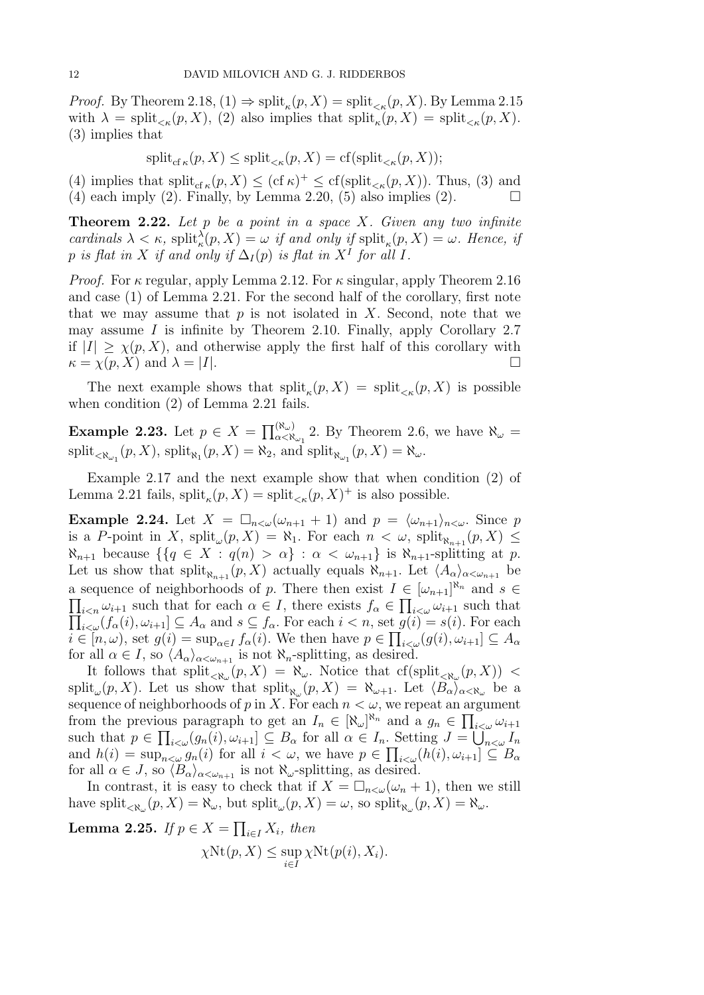*Proof.* By Theorem 2.18,  $(1) \Rightarrow$  split<sub> $\kappa$ </sub> $(p, X) =$  split<sub> $\kappa$ </sub> $(p, X)$ . By Lemma 2.15 with  $\lambda = \text{split}_{\leq \kappa}(p, X)$ , (2) also implies that  $\text{split}_{\kappa}(p, X) = \text{split}_{\leq \kappa}(p, X)$ . (3) implies that

$$
\mathrm{split}_{\mathrm{cf}\,\kappa}(p,X) \le \mathrm{split}_{\le \kappa}(p,X) = \mathrm{cf}(\mathrm{split}_{\le \kappa}(p,X));
$$

(4) implies that  $\text{split}_{\text{cf }\kappa}(p, X) \leq (\text{cf }\kappa)^{+} \leq \text{cf}(\text{split}_{\leq \kappa}(p, X)).$  Thus, (3) and  $(4)$  each imply  $(2)$ . Finally, by Lemma 2.20,  $(5)$  also implies  $(2)$ .

**Theorem 2.22.** Let  $p$  be a point in a space  $X$ . Given any two infinite cardinals  $\lambda < \kappa$ ,  $\text{split}_{\kappa}(p, X) = \omega$  if and only if  $\text{split}_{\kappa}(p, X) = \omega$ . Hence, if p is flat in X if and only if  $\Delta_I(p)$  is flat in  $X^I$  for all I.

*Proof.* For  $\kappa$  regular, apply Lemma 2.12. For  $\kappa$  singular, apply Theorem 2.16 and case (1) of Lemma 2.21. For the second half of the corollary, first note that we may assume that  $p$  is not isolated in  $X$ . Second, note that we may assume  $I$  is infinite by Theorem 2.10. Finally, apply Corollary 2.7 if  $|I| > \chi(p, X)$ , and otherwise apply the first half of this corollary with  $\kappa = \chi(p, X)$  and  $\lambda = |I|.$ 

The next example shows that  $split_{\kappa}(p, X) = split_{\kappa}(p, X)$  is possible when condition (2) of Lemma 2.21 fails.

**Example 2.23.** Let  $p \in X = \prod_{\alpha < \aleph_{\omega_1}}^{(\aleph_{\omega})}$  2. By Theorem 2.6, we have  $\aleph_{\omega} =$  $\text{split}_{\langle X_{\omega_1}}(p,X), \text{ split}_{\aleph_1}(p,X) = \aleph_2, \text{ and } \text{split}_{\aleph_{\omega_1}}(p,X) = \aleph_{\omega}.$ 

Example 2.17 and the next example show that when condition (2) of Lemma 2.21 fails,  $\text{split}_{\kappa}(p, X) = \text{split}_{\kappa}(p, X)^+$  is also possible.

**Example 2.24.** Let  $X = \Box_{n \lt \omega}(\omega_{n+1} + 1)$  and  $p = \langle \omega_{n+1} \rangle_{n \lt \omega}$ . Since p is a P-point in X,  $\text{split}_{\omega}(p, X) = \aleph_1$ . For each  $n < \omega$ ,  $\text{split}_{\aleph_{n+1}}(p, X) \leq$  $\aleph_{n+1}$  because  $\{\{q \in X : q(n) > \alpha\} : \alpha < \omega_{n+1}\}\$ is  $\aleph_{n+1}$ -splitting at p. Let us show that  $\text{split}_{\aleph_{n+1}}(p, X)$  actually equals  $\aleph_{n+1}$ . Let  $\langle A_{\alpha}\rangle_{\alpha < \omega_{n+1}}$  be a sequence of neighborhoods of p. There then exist  $I \in [\omega_{n+1}]^{\aleph_n}$  and  $s \in$  $\prod_{i\leq n}\omega_{i+1}$  such that for each  $\alpha\in I$ , there exists  $f_{\alpha}\in\prod_{i\leq\omega}\omega_{i+1}$  such that  $\prod_{i<\omega}(f_{\alpha}(i), \omega_{i+1}] \subseteq A_{\alpha}$  and  $s \subseteq f_{\alpha}$ . For each  $i < n$ , set  $g(i) = s(i)$ . For each  $i \in [n, \omega)$ , set  $g(i) = \sup_{\alpha \in I} f_{\alpha}(i)$ . We then have  $p \in \prod_{i < \omega} (g(i), \omega_{i+1}] \subseteq A_{\alpha}$ for all  $\alpha \in I$ , so  $\langle A_{\alpha}\rangle_{\alpha < \omega_{n+1}}$  is not  $\aleph_n$ -splitting, as desired.

It follows that  $\text{split}_{\langle \aleph_\omega}(p, X) = \aleph_\omega$ . Notice that  $\text{cf}(\text{split}_{\langle \aleph_\omega}(p, X))$  < split<sub>ω</sub> $(p, X)$ . Let us show that split<sub> $\aleph_{\omega}(p, X) = \aleph_{\omega+1}$ . Let  $\langle B_{\alpha} \rangle_{\alpha < \aleph_{\omega}}$  be a</sub> sequence of neighborhoods of p in X. For each  $n < \omega$ , we repeat an argument from the previous paragraph to get an  $I_n \in [\aleph_\omega]^{\aleph_n}$  and a  $g_n \in \prod_{i \leq \omega} \omega_{i+1}$ such that  $p \in \prod_{i<\omega}(g_n(i), \omega_{i+1}] \subseteq B_\alpha$  for all  $\alpha \in I_n$ . Setting  $J = \bigcup_{n<\omega} I_n$ and  $h(i) = \sup_{n \leq \omega} g_n(i)$  for all  $i < \omega$ , we have  $p \in \prod_{i \leq \omega} (h(i), \omega_{i+1}] \subseteq B_\alpha$ for all  $\alpha \in J$ , so  $\langle B_{\alpha}\rangle_{\alpha \leq \omega_{n+1}}$  is not  $\aleph_{\omega}$ -splitting, as desired.

In contrast, it is easy to check that if  $X = \Box_{n \leq \omega}(\omega_n + 1)$ , then we still have split<sub> $\langle \mathfrak{R}_{\omega}(p,X) = \mathfrak{R}_{\omega}$ , but split $_{\omega}(p,X) = \omega$ , so split $_{\mathfrak{R}_{\omega}}(p,X) = \mathfrak{R}_{\omega}$ .</sub>

**Lemma 2.25.** If  $p \in X = \prod_{i \in I} X_i$ , then  $\chi \text{Nt}(p, X) \leq \sup$  $\sup_{i\in I}\chi \text{Nt}(p(i),X_i).$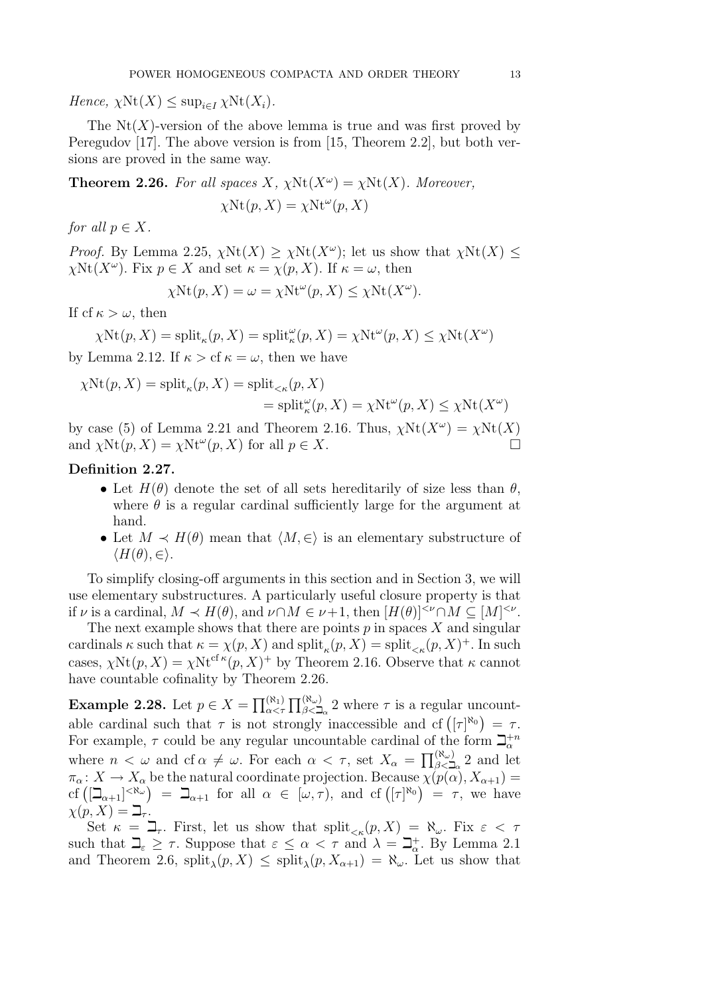Hence,  $\chi \text{Nt}(X) \leq \sup_{i \in I} \chi \text{Nt}(X_i)$ .

The  $Nt(X)$ -version of the above lemma is true and was first proved by Peregudov [17]. The above version is from [15, Theorem 2.2], but both versions are proved in the same way.

**Theorem 2.26.** For all spaces X,  $\chi$ Nt $(X^{\omega}) = \chi$ Nt $(X)$ . Moreover,  $\chi \text{Nt}(p, X) = \chi \text{Nt}^{\omega}(p, X)$ 

for all  $p \in X$ .

*Proof.* By Lemma 2.25,  $\chi \text{Nt}(X) \geq \chi \text{Nt}(X^{\omega})$ ; let us show that  $\chi \text{Nt}(X) \leq$  $\chi \text{Nt}(X^{\omega})$ . Fix  $p \in X$  and set  $\kappa = \chi(p, X)$ . If  $\kappa = \omega$ , then

$$
\chi \text{Nt}(p, X) = \omega = \chi \text{Nt}^{\omega}(p, X) \leq \chi \text{Nt}(X^{\omega}).
$$

If cf  $\kappa > \omega$ , then

$$
\chi \text{Nt}(p, X) = \text{split}_{\kappa}(p, X) = \text{split}_{\kappa}^{\omega}(p, X) = \chi \text{Nt}^{\omega}(p, X) \le \chi \text{Nt}(X^{\omega})
$$

by Lemma 2.12. If  $\kappa > c f \kappa = \omega$ , then we have

$$
\chi \text{Nt}(p, X) = \text{split}_{\kappa}(p, X) = \text{split}_{<\kappa}(p, X)
$$
  
= 
$$
\text{split}_{\kappa}^{\omega}(p, X) = \chi \text{Nt}^{\omega}(p, X) \leq \chi \text{Nt}(X^{\omega})
$$

by case (5) of Lemma 2.21 and Theorem 2.16. Thus,  $\chi \text{Nt}(X^{\omega}) = \chi \text{Nt}(X)$ and  $\chi \text{Nt}(p, X) = \chi \text{Nt}^{\omega}(p, X)$  for all  $p \in X$ .

### Definition 2.27.

- Let  $H(\theta)$  denote the set of all sets hereditarily of size less than  $\theta$ , where  $\theta$  is a regular cardinal sufficiently large for the argument at hand.
- Let  $M \prec H(\theta)$  mean that  $\langle M, \in \rangle$  is an elementary substructure of  $\langle H(\theta), \in \rangle$ .

To simplify closing-off arguments in this section and in Section 3, we will use elementary substructures. A particularly useful closure property is that if  $\nu$  is a cardinal,  $M \prec H(\theta)$ , and  $\nu \cap M \in \nu+1$ , then  $[H(\theta)]^{<\nu} \cap M \subseteq [M]^{<\nu}$ .

The next example shows that there are points  $p$  in spaces  $X$  and singular cardinals  $\kappa$  such that  $\kappa = \chi(p, X)$  and  $\text{split}_{\kappa}(p, X) = \text{split}_{\kappa}(p, X)^+$ . In such cases,  $\chi \text{Nt}(p, X) = \chi \text{Nt}^{\text{cf } \kappa}(p, X)^+$  by Theorem 2.16. Observe that  $\kappa$  cannot have countable cofinality by Theorem 2.26.

**Example 2.28.** Let  $p \in X = \prod_{\alpha < \tau}^{(\aleph_1)} \prod_{\beta < \beth_\alpha}^{(\aleph_\omega)} 2$  where  $\tau$  is a regular uncountable cardinal such that  $\tau$  is not strongly inaccessible and cf  $([\tau]^{\aleph_0}) = \tau$ . For example,  $\tau$  could be any regular uncountable cardinal of the form  $\mathbb{Z}_{\alpha}^{+n}$ where  $n < \omega$  and cf  $\alpha \neq \omega$ . For each  $\alpha < \tau$ , set  $X_{\alpha} = \prod_{\beta < \lambda}^{\alpha} 2$  and let  $\pi_{\alpha}: X \to X_{\alpha}$  be the natural coordinate projection. Because  $\chi(p(\alpha), X_{\alpha+1}) =$ cf  $([\Box_{\alpha+1}]^{<\aleph_\omega}) = \Box_{\alpha+1}$  for all  $\alpha \in [\omega,\tau)$ , and cf  $([\tau]^{\aleph_0}) = \tau$ , we have  $\chi(p, X) = \beth_{\tau}$ .

Set  $\kappa = \Box_\tau$ . First, let us show that  $split_{\leq \kappa}(p, X) = \aleph_\omega$ . Fix  $\varepsilon < \tau$ such that  $\Box_{\varepsilon} \geq \tau$ . Suppose that  $\varepsilon \leq \alpha < \tau$  and  $\lambda = \Box_{\alpha}^{+}$ . By Lemma 2.1 and Theorem 2.6,  $\text{split}_{\lambda}(p, X) \leq \text{split}_{\lambda}(p, X_{\alpha+1}) = \aleph_{\omega}$ . Let us show that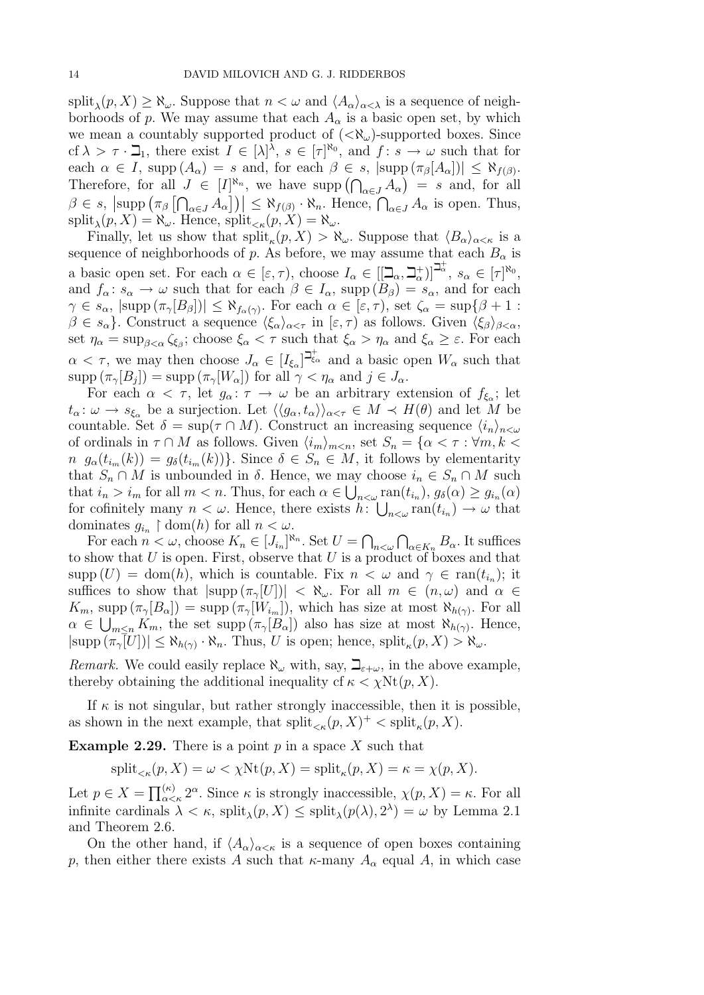$\text{split}_{\lambda}(p, X) \geq \aleph_{\omega}$ . Suppose that  $n < \omega$  and  $\langle A_{\alpha} \rangle_{\alpha < \lambda}$  is a sequence of neighborhoods of p. We may assume that each  $A_{\alpha}$  is a basic open set, by which we mean a countably supported product of  $(<\aleph_\omega$ )-supported boxes. Since cf  $\lambda > \tau \cdot \mathbb{Z}_1$ , there exist  $I \in [\lambda]^{\lambda}$ ,  $s \in [\tau]^{\aleph_0}$ , and  $f: s \to \omega$  such that for each  $\alpha \in I$ , supp  $(A_{\alpha}) = s$  and, for each  $\beta \in s$ ,  $|\text{supp }(\pi_{\beta}[A_{\alpha}])| \leq \aleph_{f(\beta)}$ . Therefore, for all  $J \in [I]^{\aleph_n}$ , we have supp  $(\bigcap_{\alpha \in J} A_{\alpha}) = s$  and, for all  $\beta \in s$ ,  $\left|\text{supp }\left(\pi_{\beta}\left[\bigcap_{\alpha\in J}A_{\alpha}\right]\right)\right| \leq \aleph_{f(\beta)}\cdot \aleph_{n}$ . Hence,  $\bigcap_{\alpha\in J}A_{\alpha}$  is open. Thus,  $\text{split}_{\lambda}(p, X) = \aleph_{\omega}$ . Hence,  $\text{split}_{\leq \kappa}(p, X) = \aleph_{\omega}$ .

Finally, let us show that  $\text{split}_{\kappa}(p, X) > \aleph_{\omega}$ . Suppose that  $\langle B_{\alpha} \rangle_{\alpha < \kappa}$  is a sequence of neighborhoods of p. As before, we may assume that each  $B_{\alpha}$  is a basic open set. For each  $\alpha \in [\epsilon, \tau)$ , choose  $I_{\alpha} \in [[\mathcal{Q}_{\alpha}, \mathcal{Q}_{\alpha}^{+}]]^{\mathcal{Q}_{\alpha}^{+}}$ ,  $s_{\alpha} \in [\tau]^{\aleph_{0}}$ , and  $f_{\alpha}: s_{\alpha} \to \omega$  such that for each  $\beta \in I_{\alpha}$ , supp  $(B_{\beta}) = s_{\alpha}$ , and for each  $\gamma \in s_\alpha$ ,  $|\text{supp }(\pi_\gamma[B_\beta])| \leq \aleph_{f_\alpha(\gamma)}$ . For each  $\alpha \in [\varepsilon, \tau)$ , set  $\zeta_\alpha = \sup\{\beta + 1 :$  $\beta \in s_\alpha$ . Construct a sequence  $\langle \xi_\alpha \rangle_{\alpha < \tau}$  in  $[\varepsilon, \tau)$  as follows. Given  $\langle \xi_\beta \rangle_{\beta < \alpha}$ , set  $\eta_{\alpha} = \sup_{\beta < \alpha} \zeta_{\xi_{\beta}}$ ; choose  $\xi_{\alpha} < \tau$  such that  $\xi_{\alpha} > \eta_{\alpha}$  and  $\xi_{\alpha} \geq \varepsilon$ . For each  $\alpha < \tau$ , we may then choose  $J_{\alpha} \in [I_{\xi_{\alpha}}]^{\beth_{\xi_{\alpha}}^+}$  and a basic open  $W_{\alpha}$  such that  $\text{supp}(\pi_{\gamma}[B_j]) = \text{supp}(\pi_{\gamma}[W_{\alpha}])$  for all  $\gamma < \eta_{\alpha}$  and  $j \in J_{\alpha}$ .

For each  $\alpha < \tau$ , let  $g_{\alpha} : \tau \to \omega$  be an arbitrary extension of  $f_{\xi_{\alpha}}$ ; let  $t_{\alpha}: \omega \to s_{\xi_{\alpha}}$  be a surjection. Let  $\langle \langle g_{\alpha}, t_{\alpha} \rangle \rangle_{\alpha < \tau} \in M \prec H(\theta)$  and let M be countable. Set  $\delta = \sup(\tau \cap M)$ . Construct an increasing sequence  $\langle i_n \rangle_{n \leq \omega}$ of ordinals in  $\tau \cap M$  as follows. Given  $\langle i_m \rangle_{m \le n}$ , set  $S_n = \{ \alpha < \tau : \forall m, k \le n \}$  $n \, g_{\alpha}(t_{i_m}(k)) = g_{\delta}(t_{i_m}(k))\}.$  Since  $\delta \in S_n \in M$ , it follows by elementarity that  $S_n \cap M$  is unbounded in  $\delta$ . Hence, we may choose  $i_n \in S_n \cap M$  such that  $i_n > i_m$  for all  $m < n$ . Thus, for each  $\alpha \in \bigcup_{n<\omega} \text{ran}(t_{i_n}), g_\delta(\alpha) \geq g_{i_n}(\alpha)$ for cofinitely many  $n < \omega$ . Hence, there exists  $h: \bigcup_{n<\omega} \text{ran}(t_{i_n}) \to \omega$  that dominates  $g_{i_n} \restriction \text{dom}(h)$  for all  $n < \omega$ .

For each  $n < \omega$ , choose  $K_n \in [J_{i_n}]^{\aleph_n}$ . Set  $U = \bigcap_{n < \omega} \bigcap_{\alpha \in K_n} B_\alpha$ . It suffices to show that  $U$  is open. First, observe that  $U$  is a product of boxes and that supp  $(U) = \text{dom}(h)$ , which is countable. Fix  $n < \omega$  and  $\gamma \in \text{ran}(t_{i_n})$ ; it suffices to show that  $|\text{supp } (\pi_{\gamma}[U])| < \aleph_{\omega}$ . For all  $m \in (n, \omega)$  and  $\alpha \in$  $K_m$ , supp  $(\pi_{\gamma}[B_{\alpha}]) = \text{supp}(\pi_{\gamma}[W_{i_m}])$ , which has size at most  $\aleph_{h(\gamma)}$ . For all  $\alpha \in \bigcup_{m \leq n} K_m$ , the set supp  $(\pi_\gamma[B_\alpha])$  also has size at most  $\aleph_{h(\gamma)}$ . Hence,  $|\text{supp}(\pi_{\gamma}[U])| \leq \aleph_{h(\gamma)} \cdot \aleph_n$ . Thus, U is open; hence,  $\text{split}_{\kappa}(p, X) > \aleph_{\omega}$ .

*Remark.* We could easily replace  $\aleph_{\omega}$  with, say,  $\beth_{\epsilon+\omega}$ , in the above example, thereby obtaining the additional inequality cf  $\kappa < \chi \text{Nt}(p, X)$ .

If  $\kappa$  is not singular, but rather strongly inaccessible, then it is possible, as shown in the next example, that  $\text{split}_{\leq \kappa}(p, X)^+ < \text{split}_{\kappa}(p, X)$ .

**Example 2.29.** There is a point  $p$  in a space X such that

$$
\mathrm{split}_{\leq\kappa}(p,X) = \omega < \chi \mathrm{Nt}(p,X) = \mathrm{split}_{\kappa}(p,X) = \kappa = \chi(p,X).
$$

Let  $p \in X = \prod_{\alpha < \kappa}^{(\kappa)} 2^{\alpha}$ . Since  $\kappa$  is strongly inaccessible,  $\chi(p, X) = \kappa$ . For all infinite cardinals  $\lambda < \kappa$ , split $_{\lambda}(p, X) \le$  split $_{\lambda}(p(\lambda), 2^{\lambda}) = \omega$  by Lemma 2.1 and Theorem 2.6.

On the other hand, if  $\langle A_{\alpha}\rangle_{\alpha<\kappa}$  is a sequence of open boxes containing p, then either there exists A such that  $\kappa$ -many  $A_{\alpha}$  equal A, in which case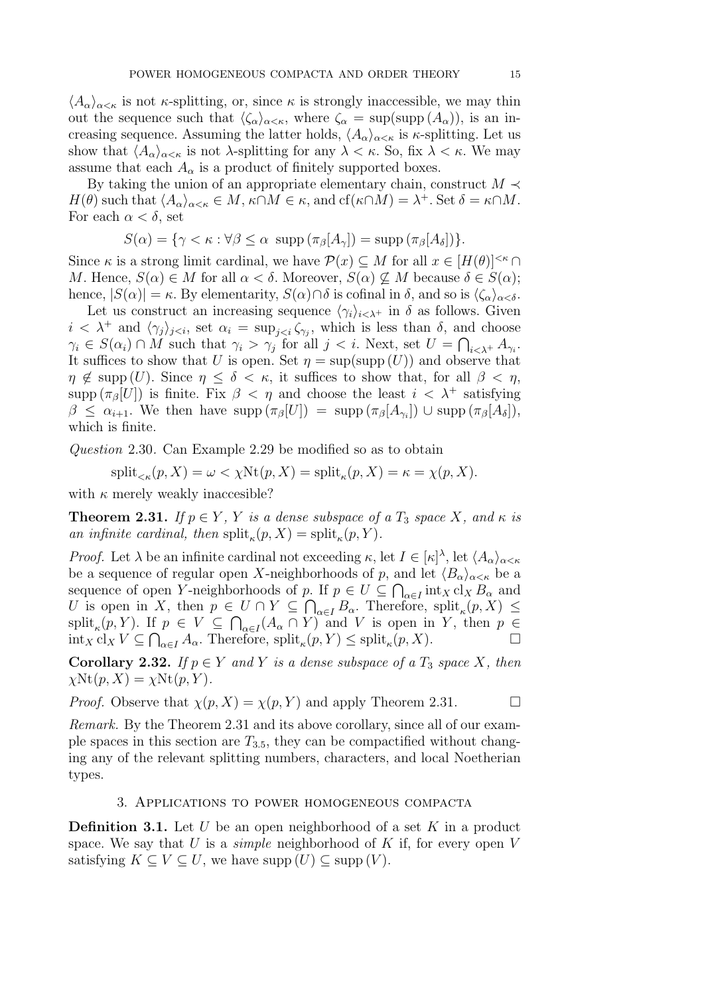$\langle A_{\alpha}\rangle_{\alpha<\kappa}$  is not  $\kappa$ -splitting, or, since  $\kappa$  is strongly inaccessible, we may thin out the sequence such that  $\langle \zeta_\alpha \rangle_{\alpha < \kappa}$ , where  $\zeta_\alpha = \sup(\text{supp } (A_\alpha))$ , is an increasing sequence. Assuming the latter holds,  $\langle A_{\alpha}\rangle_{\alpha<\kappa}$  is  $\kappa$ -splitting. Let us show that  $\langle A_{\alpha}\rangle_{\alpha\leq\kappa}$  is not  $\lambda$ -splitting for any  $\lambda<\kappa$ . So, fix  $\lambda<\kappa$ . We may assume that each  $A_{\alpha}$  is a product of finitely supported boxes.

By taking the union of an appropriate elementary chain, construct  $M \prec$  $H(\theta)$  such that  $\langle A_{\alpha}\rangle_{\alpha<\kappa} \in M$ ,  $\kappa\cap M \in \kappa$ , and  $cf(\kappa\cap M) = \lambda^+$ . Set  $\delta = \kappa\cap M$ . For each  $\alpha < \delta$ , set

$$
S(\alpha) = \{ \gamma < \kappa : \forall \beta \leq \alpha \, \supp \left( \pi_{\beta}[A_{\gamma}] \right) = \sup \left( \pi_{\beta}[A_{\delta}] \right) \}.
$$

Since  $\kappa$  is a strong limit cardinal, we have  $\mathcal{P}(x) \subseteq M$  for all  $x \in [H(\theta)]^{<\kappa} \cap$ M. Hence,  $S(\alpha) \in M$  for all  $\alpha < \delta$ . Moreover,  $S(\alpha) \nsubseteq M$  because  $\delta \in S(\alpha)$ ; hence,  $|S(\alpha)| = \kappa$ . By elementarity,  $S(\alpha) \cap \delta$  is cofinal in  $\delta$ , and so is  $\langle \zeta_\alpha \rangle_{\alpha < \delta}$ .

Let us construct an increasing sequence  $\langle \gamma_i \rangle_{i \leq \lambda^+}$  in  $\delta$  as follows. Given  $i < \lambda^+$  and  $\langle \gamma_j \rangle_{j \leq i}$ , set  $\alpha_i = \sup_{j \leq i} \zeta_{\gamma_j}$ , which is less than  $\delta$ , and choose  $\gamma_i \in S(\alpha_i) \cap M$  such that  $\gamma_i > \gamma_j$  for all  $j < i$ . Next, set  $U = \bigcap_{i \leq \lambda^+} A_{\gamma_i}$ . It suffices to show that U is open. Set  $\eta = \sup(\text{supp}(U))$  and observe that  $\eta \notin \text{supp}(U)$ . Since  $\eta \leq \delta < \kappa$ , it suffices to show that, for all  $\beta < \eta$ , supp  $(\pi_{\beta}[U])$  is finite. Fix  $\beta < \eta$  and choose the least  $i < \lambda^+$  satisfying  $\beta \leq \alpha_{i+1}$ . We then have supp  $(\pi_\beta[U]) = \text{supp} (\pi_\beta[A_{\gamma_i}]) \cup \text{supp} (\pi_\beta[A_\delta]),$ which is finite.

Question 2.30. Can Example 2.29 be modified so as to obtain

$$
\mathrm{split}_{\leq\kappa}(p,X)=\omega<\chi\mathrm{Nt}(p,X)=\mathrm{split}_{\kappa}(p,X)=\kappa=\chi(p,X).
$$

with  $\kappa$  merely weakly inaccesible?

**Theorem 2.31.** If  $p \in Y$ , Y is a dense subspace of a  $T_3$  space X, and  $\kappa$  is an infinite cardinal, then  $\text{split}_{\kappa}(p, X) = \text{split}_{\kappa}(p, Y)$ .

*Proof.* Let  $\lambda$  be an infinite cardinal not exceeding  $\kappa$ , let  $I \in [\kappa]^{\lambda}$ , let  $\langle A_{\alpha} \rangle_{\alpha \leq \kappa}$ be a sequence of regular open X-neighborhoods of p, and let  $\langle B_{\alpha}\rangle_{\alpha<\kappa}$  be a sequence of open Y-neighborhoods of p. If  $p \in U \subseteq \bigcap_{\alpha \in I} \text{int}_X cl_X B_\alpha$  and U is open in X, then  $p \in U \cap Y \subseteq \bigcap_{\alpha \in I} B_{\alpha}$ . Therefore,  $\text{split}_{\kappa}(p, X) \leq$  $\text{split}_{\kappa}(p, Y)$ . If  $p \in V \subseteq \bigcap_{\alpha \in I} (A_{\alpha} \cap Y)$  and V is open in Y, then  $p \in$  $\text{int}_X \text{cl}_X V \subseteq \bigcap_{\alpha \in I} A_\alpha$ . Therefore,  $\text{split}_\kappa(p, Y) \leq \text{split}_\kappa(p, X)$ .

Corollary 2.32. If  $p \in Y$  and Y is a dense subspace of a  $T_3$  space X, then  $\chi \text{Nt}(p, X) = \chi \text{Nt}(p, Y).$ 

*Proof.* Observe that  $\chi(p, X) = \chi(p, Y)$  and apply Theorem 2.31.

Remark. By the Theorem 2.31 and its above corollary, since all of our example spaces in this section are  $T_{3.5}$ , they can be compactified without changing any of the relevant splitting numbers, characters, and local Noetherian types.

#### 3. Applications to power homogeneous compacta

**Definition 3.1.** Let U be an open neighborhood of a set K in a product space. We say that  $U$  is a *simple* neighborhood of  $K$  if, for every open  $V$ satisfying  $K \subset V \subset U$ , we have supp  $(U) \subset \text{supp}(V)$ .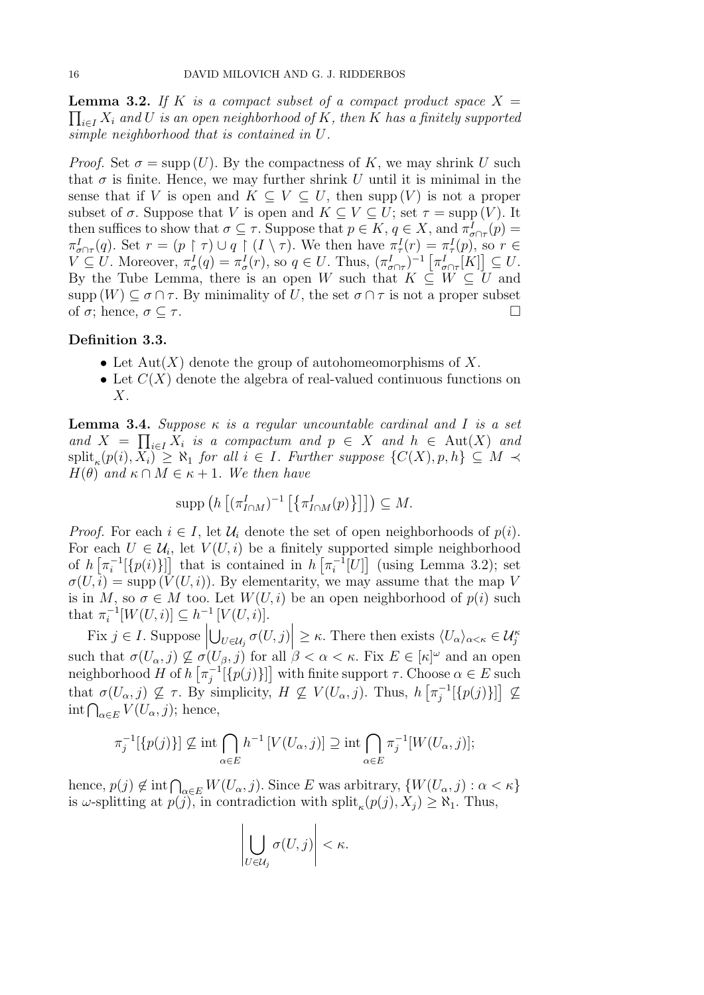$\prod_{i\in I} X_i$  and  $U$  is an open neighborhood of  $K,$  then  $K$  has a finitely supported **Lemma 3.2.** If K is a compact subset of a compact product space  $X =$ simple neighborhood that is contained in U.

*Proof.* Set  $\sigma = \text{supp}(U)$ . By the compactness of K, we may shrink U such that  $\sigma$  is finite. Hence, we may further shrink U until it is minimal in the sense that if V is open and  $K \subseteq V \subseteq U$ , then supp (V) is not a proper subset of  $\sigma$ . Suppose that V is open and  $K \subset V \subset U$ ; set  $\tau = \text{supp}(V)$ . It then suffices to show that  $\sigma \subseteq \tau$ . Suppose that  $p \in K$ ,  $q \in X$ , and  $\pi^I_{\sigma \cap \tau}(p)$ Then sumes to show that  $\theta \leq t$ . Suppose that  $p \in \Lambda$ ,  $q \in \Lambda$ , and  $\pi_{\sigma \cap \tau}(p) = \pi_{\tau}(q)$ . Set  $r = (p \restriction \tau) \cup q \restriction (I \setminus \tau)$ . We then have  $\pi_{\tau}^{I}(r) = \pi_{\tau}^{I}(p)$ , so  $r \in$  $V \subseteq U$ . Moreover,  $\pi^I_\sigma(q) = \pi^I_\sigma(r)$ , so  $q \in U$ . Thus,  $(\pi^I_{\sigma \cap \tau})^{-1} [\pi^I_{\sigma \cap \tau}[K]] \subseteq U$ . By the Tube Lemma, there is an open W such that  $K \subseteq W \subseteq U$  and supp  $(W) \subseteq \sigma \cap \tau$ . By minimality of U, the set  $\sigma \cap \tau$  is not a proper subset of  $\sigma$ ; hence,  $\sigma \subseteq \tau$ .

#### Definition 3.3.

- Let  $Aut(X)$  denote the group of autohomeomorphisms of X.
- Let  $C(X)$  denote the algebra of real-valued continuous functions on  $X$ .

**Lemma 3.4.** Suppose  $\kappa$  is a regular uncountable cardinal and I is a set and  $X = \prod_{i \in I} X_i$  is a compactum and  $p \in X$  and  $h \in Aut(X)$  and  $\text{split}_{\kappa}(p(i), X_i) \geq \aleph_1$  for all  $i \in I$ . Further suppose  $\{C(X), p, h\} \subseteq M \prec$  $H(\theta)$  and  $\kappa \cap M \in \kappa + 1$ . We then have

$$
\operatorname{supp}\left(h\left[\left(\pi_{I\cap M}^I\right)^{-1}\left[\left\{\pi_{I\cap M}^I(p)\right\}\right]\right]\right)\subseteq M.
$$

*Proof.* For each  $i \in I$ , let  $\mathcal{U}_i$  denote the set of open neighborhoods of  $p(i)$ . For each  $U \in \mathcal{U}_i$ , let  $V(U, i)$  be a finitely supported simple neighborhood of  $h\left[\pi_i^{-1}\right]$  $\left[\prod_{i=1}^{n} \left\{p(i)\right\}\right]$  that is contained in  $h\left[\pi_i^{-1}\right]$  $i_i^{-1}[U]$  (using Lemma 3.2); set  $\sigma(U, i) = \text{supp}(V(U, i))$ . By elementarity, we may assume that the map V is in M, so  $\sigma \in M$  too. Let  $W(U, i)$  be an open neighborhood of  $p(i)$  such that  $\pi_i^{-1}$  $i^{-1}[W(U,i)] \subseteq h^{-1}[V(U,i)].$ 

Fix  $j \in I$ . Suppose  $\left| \bigcup_{U \in \mathcal{U}_j} \sigma(U,j) \right| \geq \kappa$ . There then exists  $\langle U_\alpha \rangle_{\alpha < \kappa} \in \mathcal{U}_j^{\kappa}$  $\overline{\phantom{a}}$ such that  $\sigma(U_{\alpha},j) \nsubseteq \sigma(U_{\beta},j)$  for all  $\beta < \alpha < \kappa$ . Fix  $E \in [\kappa]^{\omega}$  and an open neighborhood H of  $h\left[\pi_i^{-1}\right]$  $j^{-1}[\{p(j)\}]$  with finite support  $\tau$ . Choose  $\alpha \in E$  such that  $\sigma(U_{\alpha},j) \nsubseteq \tau$ . By simplicity,  $H \nsubseteq V(U_{\alpha},j)$ . Thus,  $h \left[ \pi_i^{-1} \right]$  $\mathcal{I}_j^{-1}[\{p(j)\}]\nsubseteq$  $\int_{\alpha \in E} V(U_{\alpha}, j)$ ; hence,

$$
\pi_j^{-1}[\{p(j)\}] \nsubseteq \text{int} \bigcap_{\alpha \in E} h^{-1}\left[V(U_\alpha, j)\right] \supseteq \text{int} \bigcap_{\alpha \in E} \pi_j^{-1}\left[W(U_\alpha, j)\right];
$$

hence,  $p(j) \notin \text{int} \bigcap_{\alpha \in E} W(U_\alpha, j)$ . Since E was arbitrary,  $\{W(U_\alpha, j) : \alpha < \kappa\}$ is  $\omega$ -splitting at  $p(j)$ , in contradiction with  $\text{split}_{\kappa}(p(j), X_j) \geq \aleph_1$ . Thus,

 $\overline{1}$ 

$$
\left|\bigcup_{U\in\mathcal{U}_j}\sigma(U,j)\right|<\kappa.
$$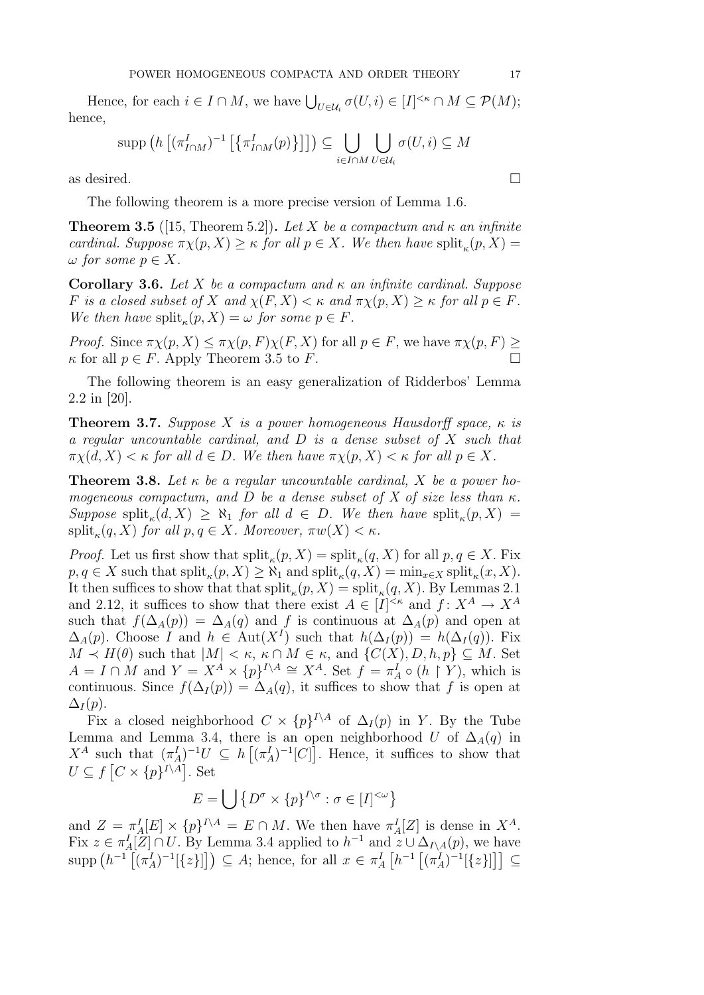Hence, for each  $i \in I \cap M$ , we have  $\bigcup_{U \in \mathcal{U}_i} \sigma(U, i) \in [I]^{<\kappa} \cap M \subseteq \mathcal{P}(M)$ ; hence,

$$
\operatorname{supp}\left(h\left[\left(\pi_{I\cap M}^{I}\right)^{-1}\left[\left\{\pi_{I\cap M}^{I}(p)\right\}\right]\right]\right)\subseteq\bigcup_{i\in I\cap M}\bigcup_{U\in\mathcal{U}_{i}}\sigma(U,i)\subseteq M
$$

as desired.  $\square$ 

The following theorem is a more precise version of Lemma 1.6.

**Theorem 3.5** ([15, Theorem 5.2]). Let X be a compactum and  $\kappa$  an infinite cardinal. Suppose  $\pi \chi(p, X) \geq \kappa$  for all  $p \in X$ . We then have  $\text{split}_{\kappa}(p, X) =$  $\omega$  for some  $p \in X$ .

**Corollary 3.6.** Let X be a compactum and  $\kappa$  an infinite cardinal. Suppose F is a closed subset of X and  $\chi(F, X) < \kappa$  and  $\pi \chi(p, X) \geq \kappa$  for all  $p \in F$ . We then have  $split_{\kappa}(p, X) = \omega$  for some  $p \in F$ .

*Proof.* Since  $\pi \chi(p, X) \leq \pi \chi(p, F) \chi(F, X)$  for all  $p \in F$ , we have  $\pi \chi(p, F) \geq$  $\kappa$  for all  $p \in F$ . Apply Theorem 3.5 to F.

The following theorem is an easy generalization of Ridderbos' Lemma 2.2 in [20].

**Theorem 3.7.** Suppose X is a power homogeneous Hausdorff space,  $\kappa$  is a regular uncountable cardinal, and D is a dense subset of X such that  $\pi \chi(d, X) < \kappa$  for all  $d \in D$ . We then have  $\pi \chi(p, X) < \kappa$  for all  $p \in X$ .

**Theorem 3.8.** Let  $\kappa$  be a regular uncountable cardinal, X be a power homogeneous compactum, and D be a dense subset of X of size less than  $\kappa$ . Suppose split<sub>k</sub> $(d, X) \geq \aleph_1$  for all  $d \in D$ . We then have split<sub>k</sub> $(p, X) =$  $\text{split}_{\kappa}(q, X) \text{ for all } p, q \in X. \text{ Moreover, } \pi w(X) < \kappa.$ 

*Proof.* Let us first show that  $\text{split}_{\kappa}(p, X) = \text{split}_{\kappa}(q, X)$  for all  $p, q \in X$ . Fix  $p, q \in X$  such that  $\text{split}_{\kappa}(p, X) \geq \aleph_1$  and  $\text{split}_{\kappa}(q, X) = \min_{x \in X} \text{split}_{\kappa}(x, X)$ . It then suffices to show that that  $\text{split}_{\kappa}(p, X) = \text{split}_{\kappa}(q, X)$ . By Lemmas 2.1 and 2.12, it suffices to show that there exist  $A \in [I]^{<\kappa}$  and  $f: X^A \to X^A$ such that  $f(\Delta_A(p)) = \Delta_A(q)$  and f is continuous at  $\Delta_A(p)$  and open at  $\Delta_A(p)$ . Choose I and  $h \in \text{Aut}(X^I)$  such that  $h(\Delta_I(p)) = h(\Delta_I(q))$ . Fix  $M \prec H(\theta)$  such that  $|M| \leq \kappa$ ,  $\kappa \cap M \in \kappa$ , and  $\{C(X), D, h, p\} \subseteq M$ . Set  $A = I \cap M$  and  $Y = X^A \times \{p\}^{I \setminus A} \cong X^A$ . Set  $f = \pi_A^I \circ (h \upharpoonright Y)$ , which is continuous. Since  $f(\Delta_I(p)) = \Delta_A(q)$ , it suffices to show that f is open at  $\Delta_I(p)$ .

Fix a closed neighborhood  $C \times \{p\}^{I \setminus A}$  of  $\Delta_I (p)$  in Y. By the Tube Lemma and Lemma 3.4, there is an open neighborhood U of  $\Delta_A(q)$  in  $X^A$  such that  $(\pi_A^I)^{-1}U \subseteq h[(\pi_A^I)^{-1}[C]]$ . Hence, it suffices to show that  $U \subseteq f$   $[C \times \{p\}^{I \setminus A}]$ . Set

$$
E = \bigcup \{ D^{\sigma} \times \{p\}^{I \setminus \sigma} : \sigma \in [I]^{<\omega} \}
$$

and  $Z = \pi_A^I [E] \times \{p\}^{I \setminus A} = E \cap M$ . We then have  $\pi_A^I [Z]$  is dense in  $X^A$ . Fix  $z \in \pi_A^I[Z] \cap U$ . By Lemma 3.4 applied to  $h^{-1}$  and  $z \cup \Delta_{I \setminus A}(p)$ , we have  $\text{supp}\left(h^{-1}\left[(\pi_A^I)^{-1}[\{z\}\right]\right]\right)\subseteq A;$  hence, for all  $x\in \pi_A^I\left[h^{-1}\left[(\pi_A^I)^{-1}[\{z\}\right]\right]\right]\subseteq$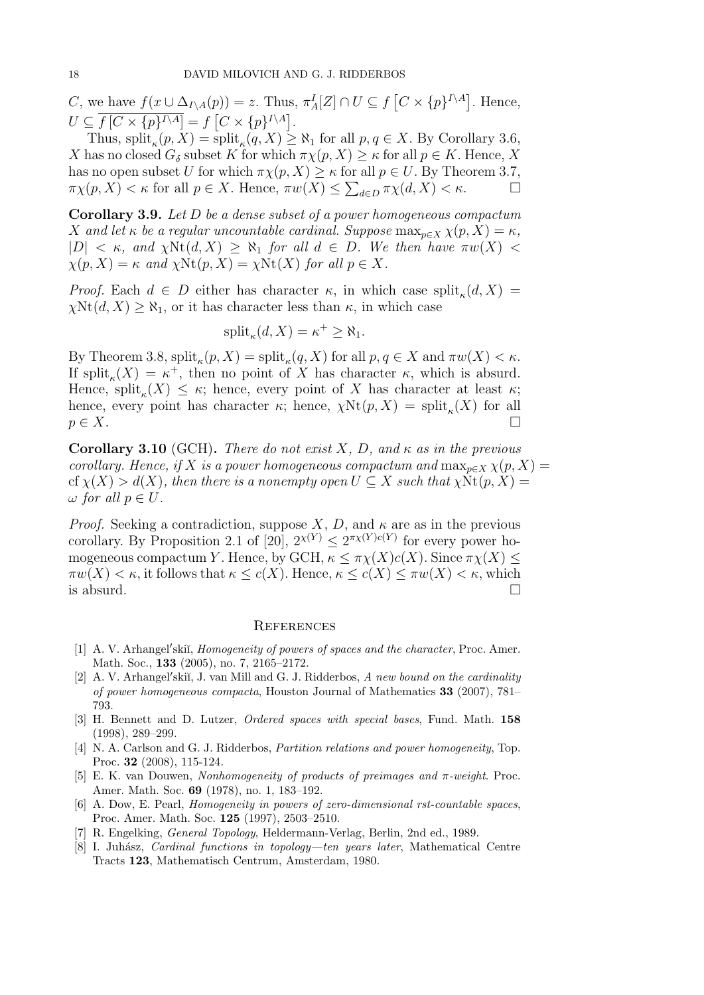C, we have  $f(x \cup \Delta_{I\setminus A}(p)) = z$ . Thus,  $\pi_A^I[Z] \cap U \subseteq f[C \times \{p\}^{I\setminus A}]$ . Hence,  $U \subseteq f \left[ C \times \{ p \}^{I \setminus A} \right] = f \left[ C \times \{ p \}^{I \setminus A} \right].$ 

Thus,  $\text{split}_{\kappa}(p, X) = \text{split}_{\kappa}(q, X) \geq \aleph_1$  for all  $p, q \in X$ . By Corollary 3.6, X has no closed  $G_{\delta}$  subset K for which  $\pi \chi(p, X) \geq \kappa$  for all  $p \in K$ . Hence, X has no open subset U for which  $\pi \chi(p, X) \geq \kappa$  for all  $p \in U$ . By Theorem 3.7,  $\pi \chi(p, X) < \kappa$  for all  $p \in X$ . Hence,  $\pi w(X) \leq \sum_{d \in D} \pi \chi(d, X) < \kappa$ .

Corollary 3.9. Let D be a dense subset of a power homogeneous compactum X and let  $\kappa$  be a regular uncountable cardinal. Suppose  $\max_{p\in X} \chi(p, X) = \kappa$ ,  $|D| < \kappa$ , and  $\chi \text{Nt}(d, X) \geq \aleph_1$  for all  $d \in D$ . We then have  $\pi w(X)$  $\chi(p, X) = \kappa$  and  $\chi \text{Nt}(p, X) = \chi \text{Nt}(X)$  for all  $p \in X$ .

*Proof.* Each  $d \in D$  either has character  $\kappa$ , in which case split<sub> $\kappa$ </sub> $(d, X)$  =  $\chi \text{Nt}(d, X) \geq \aleph_1$ , or it has character less than  $\kappa$ , in which case

$$
\mathrm{split}_{\kappa}(d, X) = \kappa^+ \ge \aleph_1.
$$

By Theorem 3.8,  $\text{split}_{\kappa}(p, X) = \text{split}_{\kappa}(q, X)$  for all  $p, q \in X$  and  $\pi w(X) < \kappa$ . If split<sub> $\kappa$ </sub>(X) =  $\kappa^+$ , then no point of X has character  $\kappa$ , which is absurd. Hence, split<sub> $\kappa$ </sub> $(X) \leq \kappa$ ; hence, every point of X has character at least  $\kappa$ ; hence, every point has character  $\kappa$ ; hence,  $\chi \text{Nt}(p, X) = \text{split}_{\kappa}(X)$  for all  $p \in X$ .

Corollary 3.10 (GCH). There do not exist X, D, and  $\kappa$  as in the previous corollary. Hence, if X is a power homogeneous compactum and  $\max_{p\in X} \chi(p, X) =$ cf  $\chi(X) > d(X)$ , then there is a nonempty open  $U \subseteq X$  such that  $\chi \text{Nt}(p, X) =$  $\omega$  for all  $p \in U$ .

*Proof.* Seeking a contradiction, suppose X, D, and  $\kappa$  are as in the previous corollary. By Proposition 2.1 of [20],  $2^{x(Y)} \leq 2^{\pi x(Y)c(Y)}$  for every power homogeneous compactum Y. Hence, by GCH,  $\kappa \leq \pi \chi(X)c(X)$ . Since  $\pi \chi(X) \leq$  $\pi w(X) < \kappa$ , it follows that  $\kappa \leq c(X)$ . Hence,  $\kappa \leq c(X) \leq \pi w(X) < \kappa$ , which is absurd.  $\Box$ 

### **REFERENCES**

- [1] A. V. Arhangel'skii, *Homogeneity of powers of spaces and the character*, Proc. Amer. Math. Soc., 133 (2005), no. 7, 2165–2172.
- [2] A. V. Arhangel'skiı̆, J. van Mill and G. J. Ridderbos, A new bound on the cardinality of power homogeneous compacta, Houston Journal of Mathematics 33 (2007), 781– 793.
- [3] H. Bennett and D. Lutzer, Ordered spaces with special bases, Fund. Math. 158 (1998), 289–299.
- [4] N. A. Carlson and G. J. Ridderbos, *Partition relations and power homogeneity*, Top. Proc. 32 (2008), 115-124.
- [5] E. K. van Douwen, Nonhomogeneity of products of preimages and  $\pi$ -weight. Proc. Amer. Math. Soc. 69 (1978), no. 1, 183–192.
- [6] A. Dow, E. Pearl, Homogeneity in powers of zero-dimensional rst-countable spaces, Proc. Amer. Math. Soc. 125 (1997), 2503–2510.
- [7] R. Engelking, General Topology, Heldermann-Verlag, Berlin, 2nd ed., 1989.
- [8] I. Juhász, Cardinal functions in topology—ten years later, Mathematical Centre Tracts 123, Mathematisch Centrum, Amsterdam, 1980.